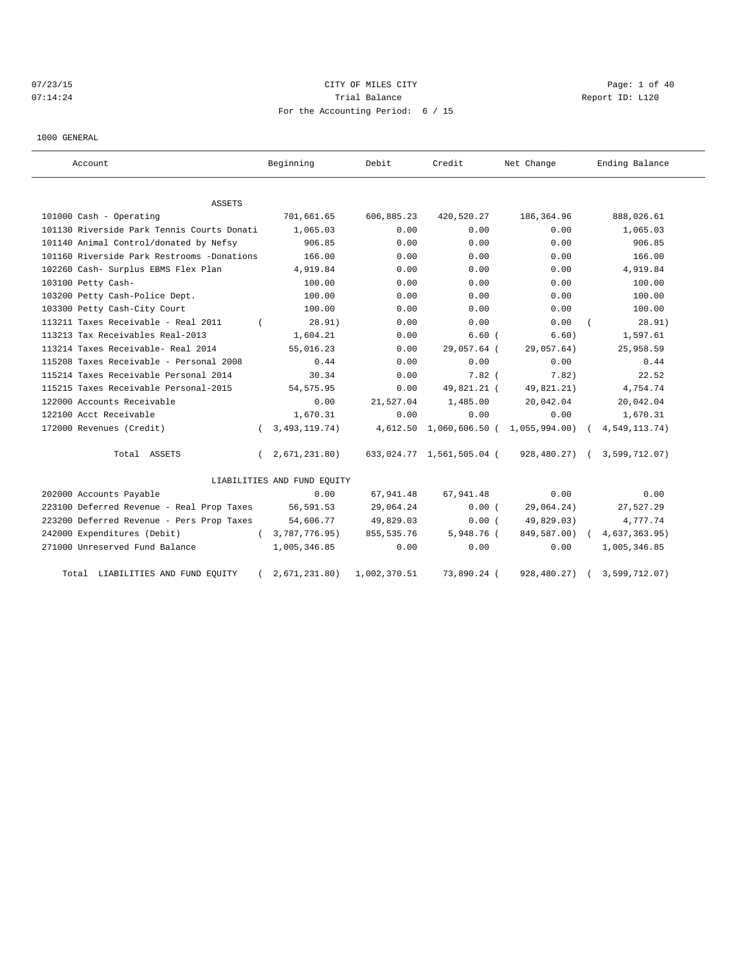# $07/23/15$  Page: 1 of 40 07:14:24 Report ID: L120 For the Accounting Period: 6 / 15

1000 GENERAL

| Account                                    |            | Beginning                   | Debit        | Credit                    | Net Change                        | Ending Balance |
|--------------------------------------------|------------|-----------------------------|--------------|---------------------------|-----------------------------------|----------------|
| ASSETS                                     |            |                             |              |                           |                                   |                |
| 101000 Cash - Operating                    |            | 701,661.65                  | 606,885.23   | 420,520.27                | 186,364.96                        | 888,026.61     |
| 101130 Riverside Park Tennis Courts Donati |            | 1,065.03                    | 0.00         | 0.00                      | 0.00                              | 1,065.03       |
| 101140 Animal Control/donated by Nefsy     |            | 906.85                      | 0.00         | 0.00                      | 0.00                              | 906.85         |
| 101160 Riverside Park Restrooms -Donations |            | 166.00                      | 0.00         | 0.00                      | 0.00                              | 166.00         |
| 102260 Cash- Surplus EBMS Flex Plan        |            | 4,919.84                    | 0.00         | 0.00                      | 0.00                              | 4,919.84       |
| 103100 Petty Cash-                         |            | 100.00                      | 0.00         | 0.00                      | 0.00                              | 100.00         |
| 103200 Petty Cash-Police Dept.             |            | 100.00                      | 0.00         | 0.00                      | 0.00                              | 100.00         |
| 103300 Petty Cash-City Court               |            | 100.00                      | 0.00         | 0.00                      | 0.00                              | 100.00         |
| 113211 Taxes Receivable - Real 2011        |            | 28.91)                      | 0.00         | 0.00                      | 0.00                              | 28.91)         |
| 113213 Tax Receivables Real-2013           |            | 1,604.21                    | 0.00         | 6.60(                     | 6.60)                             | 1,597.61       |
| 113214 Taxes Receivable- Real 2014         |            | 55,016.23                   | 0.00         | 29,057.64 (               | 29,057.64)                        | 25,958.59      |
| 115208 Taxes Receivable - Personal 2008    |            | 0.44                        | 0.00         | 0.00                      | 0.00                              | 0.44           |
| 115214 Taxes Receivable Personal 2014      |            | 30.34                       | 0.00         | $7.82$ (                  | 7.82)                             | 22.52          |
| 115215 Taxes Receivable Personal-2015      |            | 54, 575.95                  | 0.00         | 49,821.21 (               | 49,821.21)                        | 4,754.74       |
| 122000 Accounts Receivable                 |            | 0.00                        | 21,527.04    | 1,485.00                  | 20,042.04                         | 20,042.04      |
| 122100 Acct Receivable                     |            | 1,670.31                    | 0.00         | 0.00                      | 0.00                              | 1,670.31       |
| 172000 Revenues (Credit)                   | $\left($   | 3, 493, 119. 74)            | 4,612.50     |                           | $1,060,606.50$ ( $1,055,994.00$ ) | 4,549,113.74)  |
| Total ASSETS                               | $\left($   | 2,671,231.80                |              | 633,024.77 1,561,505.04 ( | 928,480.27) (                     | 3,599,712.07)  |
|                                            |            | LIABILITIES AND FUND EQUITY |              |                           |                                   |                |
| 202000 Accounts Payable                    |            | 0.00                        | 67,941.48    | 67,941.48                 | 0.00                              | 0.00           |
| 223100 Deferred Revenue - Real Prop Taxes  |            | 56,591.53                   | 29,064.24    | 0.00(                     | 29,064.24)                        | 27,527.29      |
| 223200 Deferred Revenue - Pers Prop Taxes  |            | 54,606.77                   | 49,829.03    | 0.00(                     | 49,829.03)                        | 4,777.74       |
| 242000 Expenditures (Debit)                | $\sqrt{2}$ | 3,787,776.95)               | 855, 535.76  | 5,948.76 (                | 849,587.00) (                     | 4,637,363.95)  |
| 271000 Unreserved Fund Balance             |            | 1,005,346.85                | 0.00         | 0.00                      | 0.00                              | 1,005,346.85   |
| Total LIABILITIES AND FUND EQUITY          |            | 2,671,231.80)               | 1,002,370.51 | 73,890.24 (               | 928,480.27)                       | 3,599,712.07)  |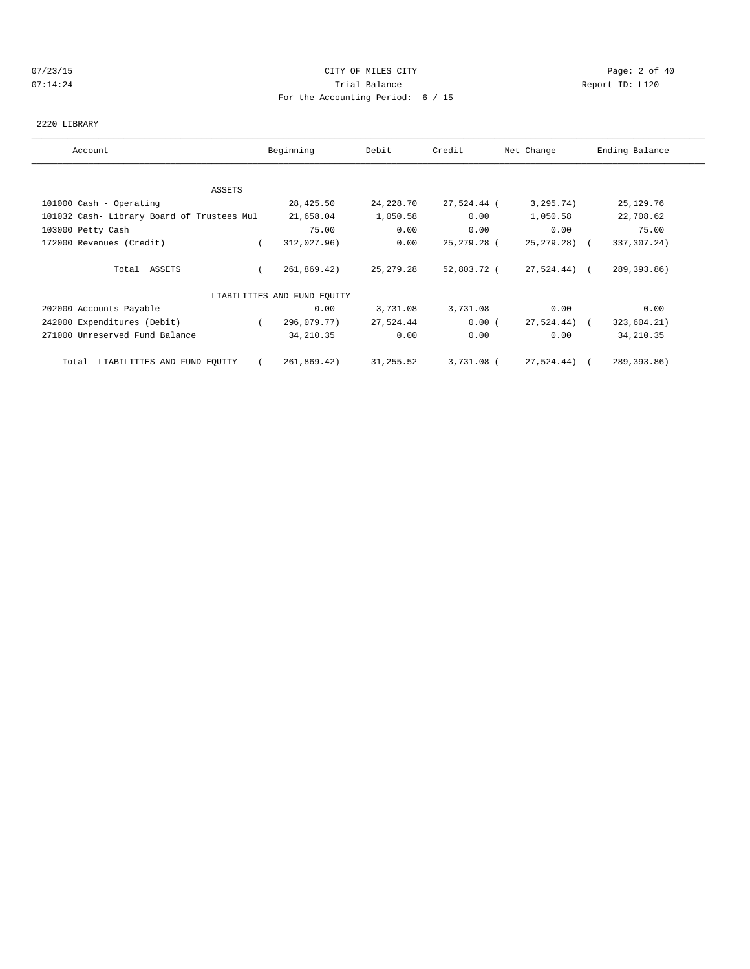## 07/23/15 Page: 2 of 40 07:14:24 **Trial Balance Constanting Constanting Constanting Constanting Constanting Constanting Constanting Constanting Constanting Constanting Constanting Constanting Constanting Constanting Constanting Constanting Cons** For the Accounting Period: 6 / 15

### 2220 LIBRARY

| Account                                    | Beginning                   | Debit       | Credit      | Net Change      | Ending Balance |
|--------------------------------------------|-----------------------------|-------------|-------------|-----------------|----------------|
|                                            |                             |             |             |                 |                |
| ASSETS                                     |                             |             |             |                 |                |
| 101000 Cash - Operating                    | 28,425.50                   | 24, 228.70  | 27,524.44 ( | 3, 295.74)      | 25, 129. 76    |
| 101032 Cash- Library Board of Trustees Mul | 21,658.04                   | 1,050.58    | 0.00        | 1,050.58        | 22,708.62      |
| 103000 Petty Cash                          | 75.00                       | 0.00        | 0.00        | 0.00            | 75.00          |
| 172000 Revenues (Credit)                   | 312,027.96)                 | 0.00        | 25,279.28 ( | $25, 279, 28$ ( | 337,307.24)    |
| Total ASSETS                               | 261,869.42)                 | 25, 279. 28 | 52,803.72 ( | 27,524.44) (    | 289,393.86)    |
|                                            | LIABILITIES AND FUND EQUITY |             |             |                 |                |
| 202000 Accounts Payable                    | 0.00                        | 3,731.08    | 3,731.08    | 0.00            | 0.00           |
| 242000 Expenditures (Debit)                | 296,079.77)                 | 27,524.44   | 0.00(       | 27,524.44) (    | 323,604.21)    |
| 271000 Unreserved Fund Balance             | 34, 210.35                  | 0.00        | 0.00        | 0.00            | 34, 210.35     |
| LIABILITIES AND FUND EQUITY<br>Total       | 261,869.42)                 | 31,255.52   | 3,731.08 (  | 27,524.44) (    | 289,393.86)    |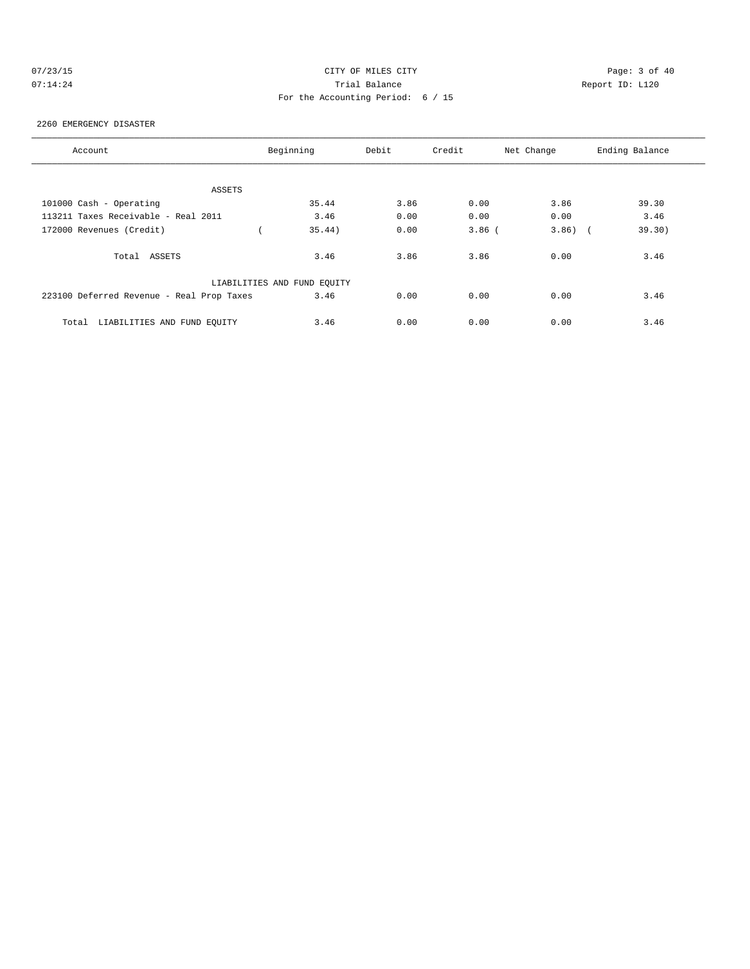| 07/23/15 |  |  |  |
|----------|--|--|--|
| 07.14.24 |  |  |  |

# CITY OF MILES CITY CONTROL CONTROL CONTROL CONTROL CONTROL PAGE: 3 of 40 07:14:24 Report ID: L120 For the Accounting Period: 6 / 15

#### 2260 EMERGENCY DISASTER

| Account                                   | Beginning                   | Debit | Credit   | Net Change | Ending Balance |
|-------------------------------------------|-----------------------------|-------|----------|------------|----------------|
|                                           |                             |       |          |            |                |
| ASSETS                                    |                             |       |          |            |                |
| 101000 Cash - Operating                   | 35.44                       | 3.86  | 0.00     | 3.86       | 39.30          |
| 113211 Taxes Receivable - Real 2011       | 3.46                        | 0.00  | 0.00     | 0.00       | 3.46           |
| 172000 Revenues (Credit)                  | 35.44)                      | 0.00  | $3.86$ ( | $3.86$ ) ( | 39.30)         |
| Total ASSETS                              | 3.46                        | 3.86  | 3.86     | 0.00       | 3.46           |
|                                           | LIABILITIES AND FUND EQUITY |       |          |            |                |
| 223100 Deferred Revenue - Real Prop Taxes | 3.46                        | 0.00  | 0.00     | 0.00       | 3.46           |
| LIABILITIES AND FUND EOUITY<br>Total      | 3.46                        | 0.00  | 0.00     | 0.00       | 3.46           |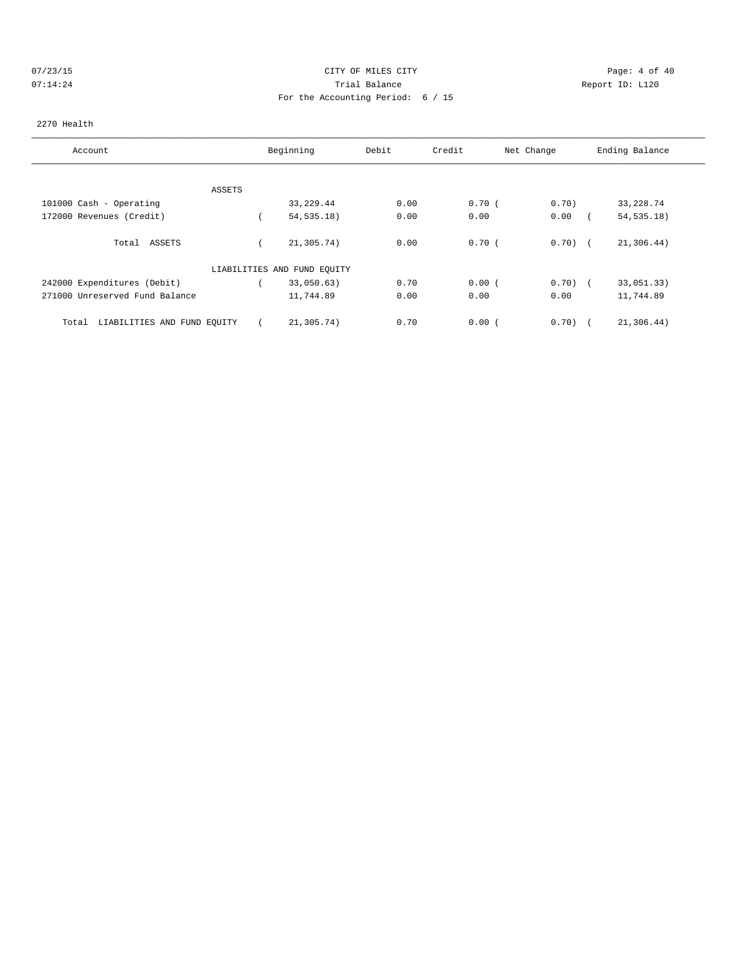## 07/23/15 Page: 4 of 40 07:14:24 **Trial Balance Constanting Constanting Constanting Constanting Constanting Constanting Constanting Constanting Constanting Constanting Constanting Constanting Constanting Constanting Constanting Constanting Cons** For the Accounting Period: 6 / 15

### 2270 Health

| Account                              | Beginning                   | Debit | Credit | Net Change | Ending Balance |
|--------------------------------------|-----------------------------|-------|--------|------------|----------------|
| ASSETS                               |                             |       |        |            |                |
| 101000 Cash - Operating              | 33,229.44                   | 0.00  | 0.70(  | 0.70)      | 33, 228.74     |
| 172000 Revenues (Credit)             | 54, 535.18)                 | 0.00  | 0.00   | 0.00       | 54, 535.18)    |
| Total ASSETS                         | 21,305.74)                  | 0.00  | 0.70(  | $0.70$ $($ | 21,306.44)     |
|                                      | LIABILITIES AND FUND EQUITY |       |        |            |                |
| 242000 Expenditures (Debit)          | 33,050.63)                  | 0.70  | 0.00(  | $0.70)$ (  | 33,051.33)     |
| 271000 Unreserved Fund Balance       | 11,744.89                   | 0.00  | 0.00   | 0.00       | 11,744.89      |
| LIABILITIES AND FUND EQUITY<br>Total | 21,305.74)                  | 0.70  | 0.00(  | $0.70$ (   | 21,306.44)     |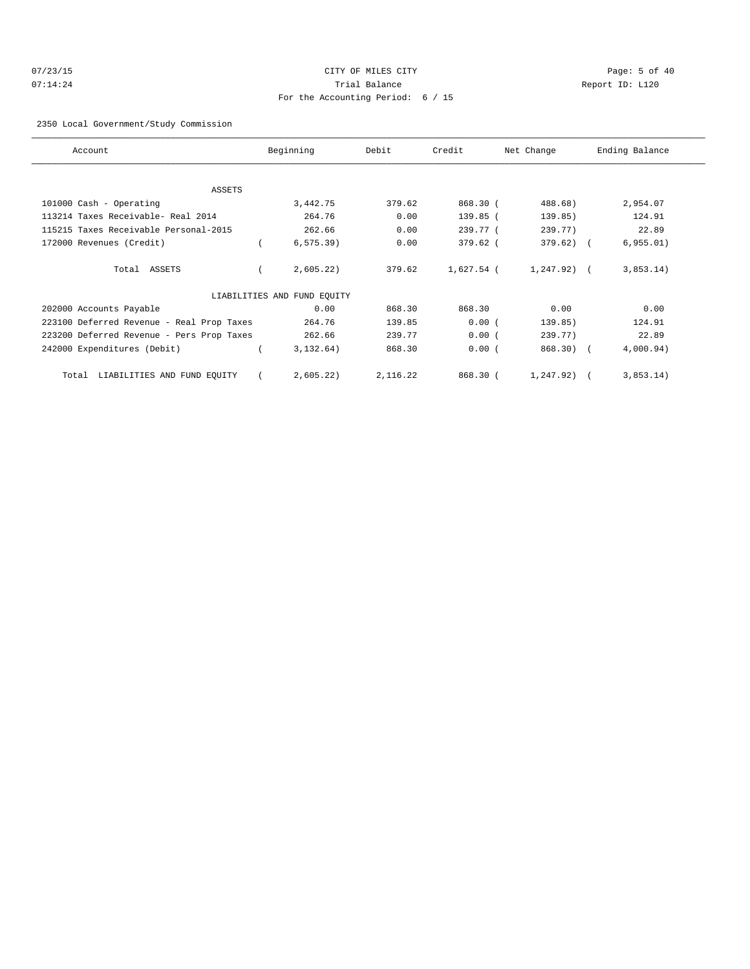# 07/23/15 Page: 5 of 40 07:14:24 **Trial Balance Constanting Constanting Constanting Constanting Constanting Constanting Constanting Constanting Constanting Constanting Constanting Constanting Constanting Constanting Constanting Constanting Cons** For the Accounting Period: 6 / 15

### 2350 Local Government/Study Commission

| Account                                   | Beginning                   | Debit    | Credit     | Net Change     | Ending Balance |
|-------------------------------------------|-----------------------------|----------|------------|----------------|----------------|
|                                           |                             |          |            |                |                |
| ASSETS                                    |                             |          |            |                |                |
| 101000 Cash - Operating                   | 3,442.75                    | 379.62   | 868.30 (   | 488.68)        | 2,954.07       |
| 113214 Taxes Receivable- Real 2014        | 264.76                      | 0.00     | 139.85 (   | 139.85)        | 124.91         |
| 115215 Taxes Receivable Personal-2015     | 262.66                      | 0.00     | 239.77 (   | 239.77)        | 22.89          |
| 172000 Revenues (Credit)                  | $6, 575.39$ )               | 0.00     | 379.62 (   | $379.62$ ) (   | 6,955.01)      |
| Total ASSETS                              | 2,605.22                    | 379.62   | 1,627.54 ( | $1,247.92$ ) ( | 3,853.14)      |
|                                           | LIABILITIES AND FUND EQUITY |          |            |                |                |
| 202000 Accounts Payable                   | 0.00                        | 868.30   | 868.30     | 0.00           | 0.00           |
| 223100 Deferred Revenue - Real Prop Taxes | 264.76                      | 139.85   | 0.00(      | 139.85)        | 124.91         |
| 223200 Deferred Revenue - Pers Prop Taxes | 262.66                      | 239.77   | 0.00(      | 239.77)        | 22.89          |
| 242000 Expenditures (Debit)               | 3,132.64)                   | 868.30   | 0.00(      | $868.30$ (     | 4,000.94)      |
| Total LIABILITIES AND FUND EQUITY         | 2,605.22)                   | 2,116.22 | 868.30 (   | 1,247.92)      | 3,853.14)      |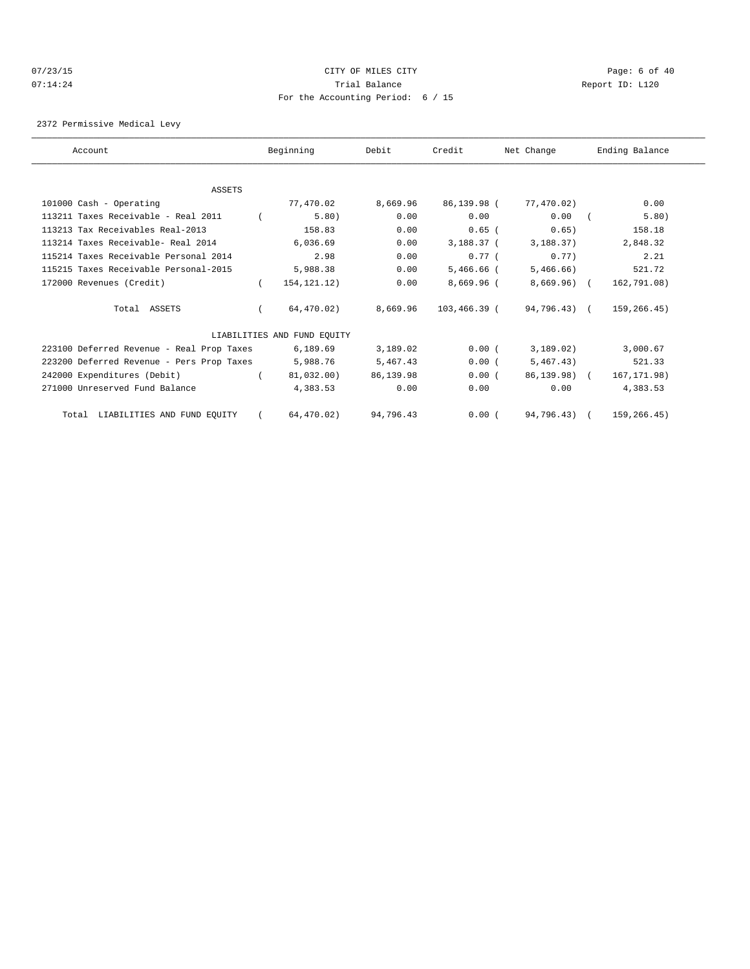## 07/23/15 CITY OF MILES CITY Page: 6 of 40 07:14:24 Report ID: L120 For the Accounting Period: 6 / 15

2372 Permissive Medical Levy

| Account                                   | Beginning                   | Debit     | Credit       | Net Change   | Ending Balance |
|-------------------------------------------|-----------------------------|-----------|--------------|--------------|----------------|
|                                           |                             |           |              |              |                |
| <b>ASSETS</b>                             |                             |           |              |              |                |
| 101000 Cash - Operating                   | 77,470.02                   | 8,669.96  | 86,139.98 (  | 77,470.02)   | 0.00           |
| 113211 Taxes Receivable - Real 2011       | 5.80)                       | 0.00      | 0.00         | 0.00         | 5.80)          |
| 113213 Tax Receivables Real-2013          | 158.83                      | 0.00      | $0.65$ (     | 0.65)        | 158.18         |
| 113214 Taxes Receivable- Real 2014        | 6,036.69                    | 0.00      | 3,188.37 (   | 3,188.37)    | 2,848.32       |
| 115214 Taxes Receivable Personal 2014     | 2.98                        | 0.00      | 0.77(        | 0.77         | 2.21           |
| 115215 Taxes Receivable Personal-2015     | 5,988.38                    | 0.00      | $5,466.66$ ( | 5,466.66)    | 521.72         |
| 172000 Revenues (Credit)                  | 154, 121. 12)               | 0.00      | 8,669.96 (   | $8,669.96$ ( | 162,791.08)    |
| Total ASSETS                              | 64,470.02)                  | 8,669.96  | 103,466.39 ( | 94,796.43) ( | 159,266.45)    |
|                                           | LIABILITIES AND FUND EOUITY |           |              |              |                |
| 223100 Deferred Revenue - Real Prop Taxes | 6,189.69                    | 3,189.02  | 0.00(        | 3,189.02)    | 3,000.67       |
| 223200 Deferred Revenue - Pers Prop Taxes | 5,988.76                    | 5,467.43  | 0.00(        | 5,467.43)    | 521.33         |
| 242000 Expenditures (Debit)               | 81,032.00)                  | 86,139.98 | 0.00(        | 86,139,98) ( | 167, 171.98)   |
| 271000 Unreserved Fund Balance            | 4,383.53                    | 0.00      | 0.00         | 0.00         | 4,383.53       |
| Total LIABILITIES AND FUND EQUITY         | 64,470.02)                  | 94,796.43 | 0.00(        | 94,796.43) ( | 159,266.45)    |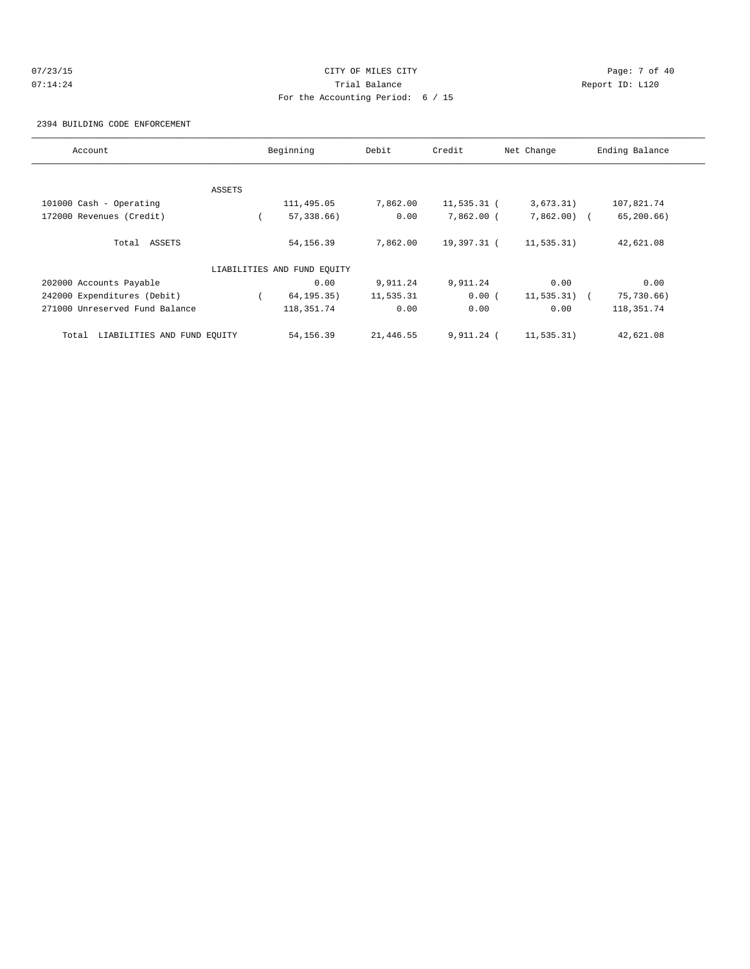# 07/23/15 Page: 7 of 40 07:14:24 **Trial Balance Constanting Constanting Constanting Constanting Constanting Constanting Constanting Constanting Constanting Constanting Constanting Constanting Constanting Constanting Constanting Constanting Cons** For the Accounting Period: 6 / 15

2394 BUILDING CODE ENFORCEMENT

| Account                              |        | Beginning                   | Debit     | Credit         | Net Change    | Ending Balance |
|--------------------------------------|--------|-----------------------------|-----------|----------------|---------------|----------------|
|                                      |        |                             |           |                |               |                |
|                                      | ASSETS |                             |           |                |               |                |
| 101000 Cash - Operating              |        | 111,495.05                  | 7,862.00  | $11, 535.31$ ( | 3,673.31)     | 107,821.74     |
| 172000 Revenues (Credit)             |        | $57, 338.66$ )              | 0.00      | 7,862.00 (     | $7,862.00$ (  | 65, 200.66     |
| Total ASSETS                         |        | 54, 156.39                  | 7,862.00  | 19,397.31 (    | 11, 535.31)   | 42,621.08      |
|                                      |        | LIABILITIES AND FUND EQUITY |           |                |               |                |
| 202000 Accounts Payable              |        | 0.00                        | 9,911.24  | 9,911.24       | 0.00          | 0.00           |
| 242000 Expenditures (Debit)          |        | 64, 195.35)                 | 11,535.31 | 0.00(          | $11,535.31$ ( | 75,730.66)     |
| 271000 Unreserved Fund Balance       |        | 118, 351.74                 | 0.00      | 0.00           | 0.00          | 118, 351. 74   |
| LIABILITIES AND FUND EQUITY<br>Total |        | 54,156.39                   | 21,446.55 | 9,911.24 (     | 11,535.31)    | 42,621.08      |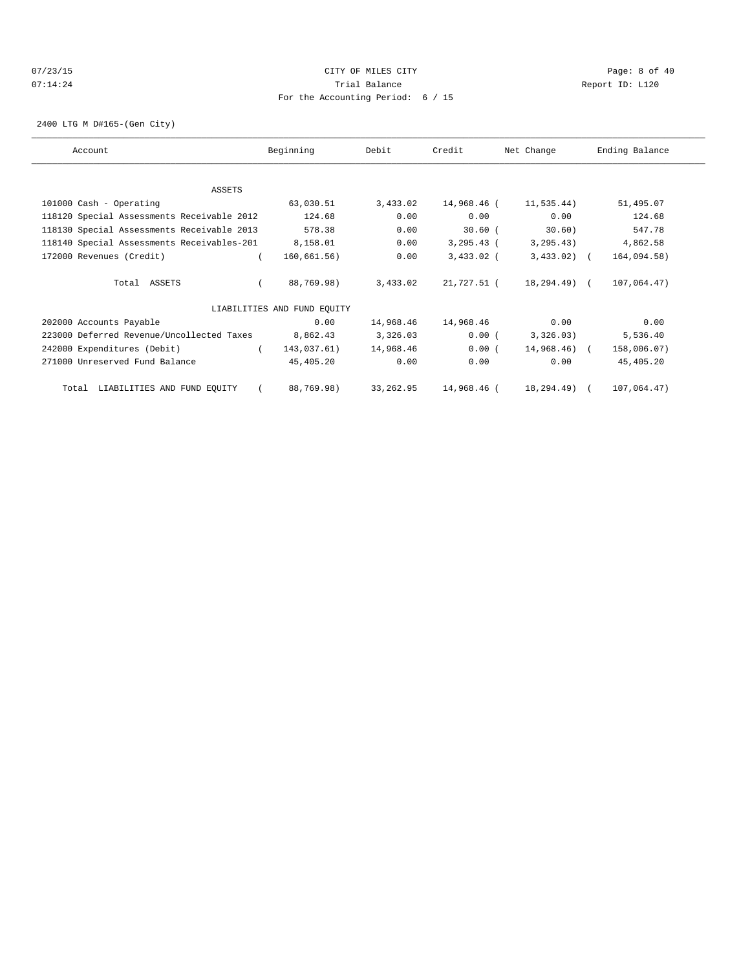## 07/23/15 Page: 8 of 40 07:14:24 **Trial Balance Constanting Constanting Constanting Constanting Constanting Constanting Constanting Constanting Constanting Constanting Constanting Constanting Constanting Constanting Constanting Constanting Cons** For the Accounting Period: 6 / 15

2400 LTG M D#165-(Gen City)

| Account                                    | Beginning                   | Debit     | Credit         | Net Change   | Ending Balance |
|--------------------------------------------|-----------------------------|-----------|----------------|--------------|----------------|
|                                            |                             |           |                |              |                |
| ASSETS                                     |                             |           |                |              |                |
| 101000 Cash - Operating                    | 63,030.51                   | 3,433.02  | 14,968.46 (    | 11,535.44)   | 51,495.07      |
| 118120 Special Assessments Receivable 2012 | 124.68                      | 0.00      | 0.00           | 0.00         | 124.68         |
| 118130 Special Assessments Receivable 2013 | 578.38                      | 0.00      | $30.60$ (      | 30.60)       | 547.78         |
| 118140 Special Assessments Receivables-201 | 8,158.01                    | 0.00      | $3, 295, 43$ ( | 3, 295.43)   | 4,862.58       |
| 172000 Revenues (Credit)                   | 160,661.56)                 | 0.00      | $3,433.02$ (   | $3,433.02$ ( | 164,094.58)    |
| Total ASSETS                               | 88,769.98)                  | 3,433.02  | 21,727.51 (    | 18,294.49) ( | 107,064.47)    |
|                                            | LIABILITIES AND FUND EQUITY |           |                |              |                |
| 202000 Accounts Payable                    | 0.00                        | 14,968.46 | 14,968.46      | 0.00         | 0.00           |
| 223000 Deferred Revenue/Uncollected Taxes  | 8,862.43                    | 3,326.03  | 0.00(          | 3,326.03)    | 5,536.40       |
| 242000 Expenditures (Debit)                | 143,037.61)                 | 14,968.46 | 0.00(          | 14,968.46) ( | 158,006.07)    |
| 271000 Unreserved Fund Balance             | 45,405.20                   | 0.00      | 0.00           | 0.00         | 45,405.20      |
| Total LIABILITIES AND FUND EQUITY          | 88,769.98)                  | 33,262.95 | 14,968.46 (    | 18,294.49) ( | 107,064.47)    |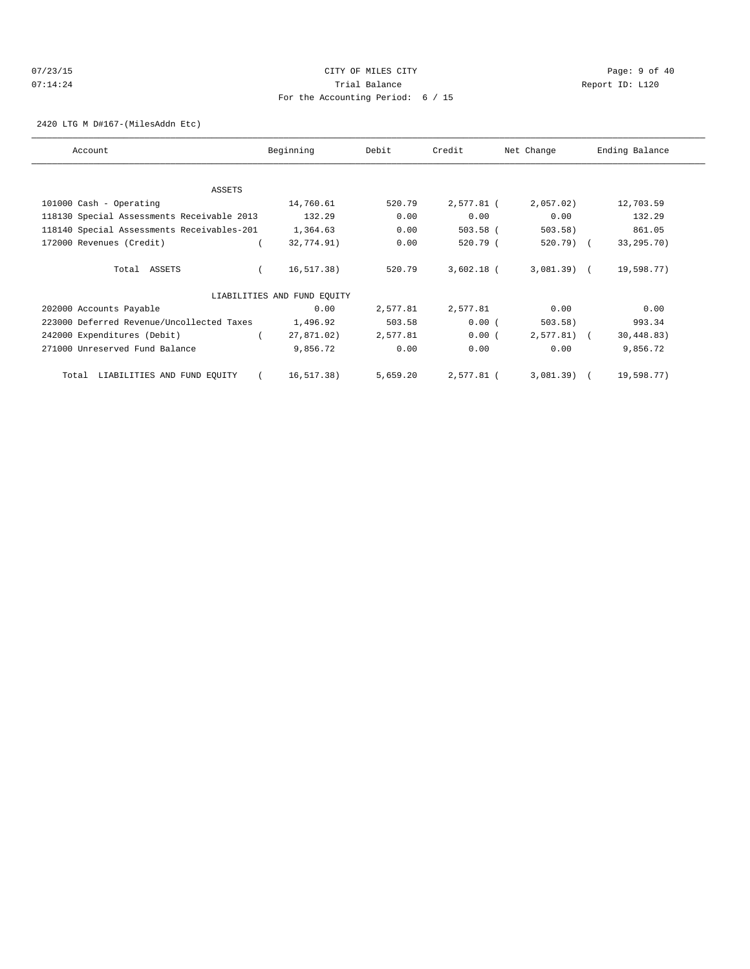## 07/23/15 Page: 9 of 40 07:14:24 **Trial Balance Constanting Constanting Constanting Constanting Constanting Constanting Constanting Constanting Constanting Constanting Constanting Constanting Constanting Constanting Constanting Constanting Cons** For the Accounting Period: 6 / 15

2420 LTG M D#167-(MilesAddn Etc)

| Account                                    | Beginning                   | Debit    | Credit       | Net Change   | Ending Balance |
|--------------------------------------------|-----------------------------|----------|--------------|--------------|----------------|
|                                            |                             |          |              |              |                |
| ASSETS                                     |                             |          |              |              |                |
| 101000 Cash - Operating                    | 14,760.61                   | 520.79   | 2,577.81 (   | 2,057.02     | 12,703.59      |
| 118130 Special Assessments Receivable 2013 | 132.29                      | 0.00     | 0.00         | 0.00         | 132.29         |
| 118140 Special Assessments Receivables-201 | 1,364.63                    | 0.00     | $503.58$ (   | 503.58)      | 861.05         |
| 172000 Revenues (Credit)                   | 32,774.91)                  | 0.00     | 520.79 (     | $520.79$ (   | 33, 295. 70)   |
|                                            |                             |          |              |              |                |
| Total ASSETS                               | 16, 517.38)                 | 520.79   | $3,602.18$ ( | $3,081.39$ ( | 19,598.77)     |
|                                            |                             |          |              |              |                |
|                                            | LIABILITIES AND FUND EQUITY |          |              |              |                |
| 202000 Accounts Payable                    | 0.00                        | 2,577.81 | 2,577.81     | 0.00         | 0.00           |
| 223000 Deferred Revenue/Uncollected Taxes  | 1,496.92                    | 503.58   | 0.00(        | 503.58)      | 993.34         |
| 242000 Expenditures (Debit)                | 27,871.02)                  | 2,577.81 | 0.00(        | $2,577.81$ ( | 30, 448.83)    |
| 271000 Unreserved Fund Balance             | 9,856.72                    | 0.00     | 0.00         | 0.00         | 9,856.72       |
|                                            |                             |          |              |              |                |
| LIABILITIES AND FUND EQUITY<br>Total       | 16, 517.38)                 | 5,659.20 | 2,577.81 (   | $3,081.39$ ( | 19,598.77)     |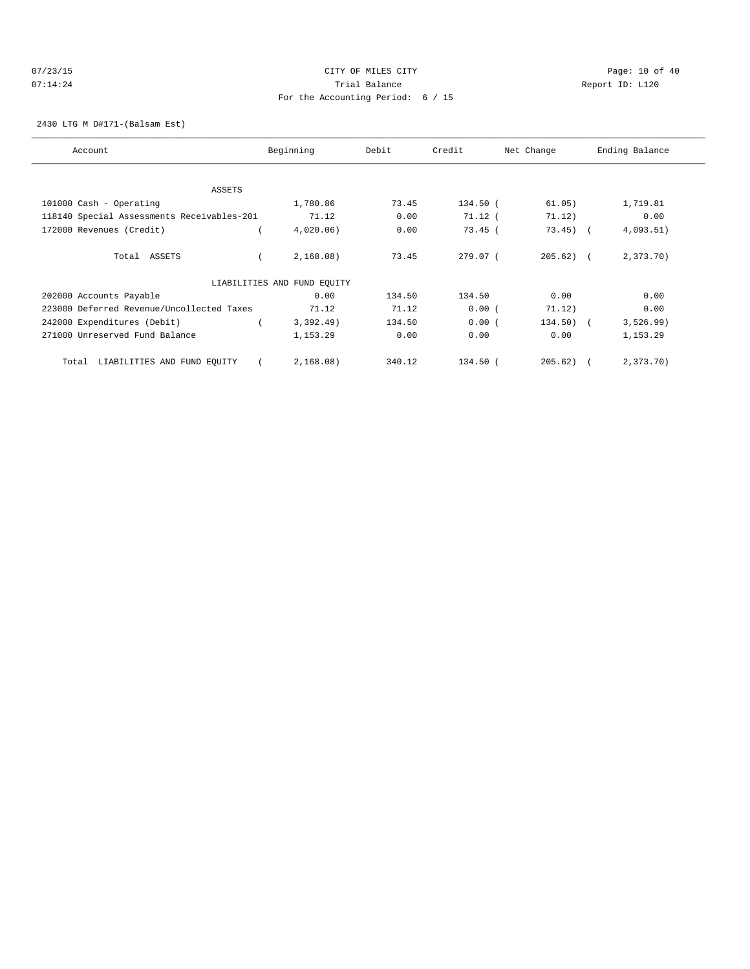## 07/23/15 Page: 10 of 40 07:14:24 **Trial Balance Constanting Constanting Constanting Constanting Constanting Constanting Constanting Constanting Constanting Constanting Constanting Constanting Constanting Constanting Constanting Constanting Cons** For the Accounting Period: 6 / 15

2430 LTG M D#171-(Balsam Est)

| Account                                    | Beginning                   | Debit  | Credit     | Net Change   | Ending Balance |
|--------------------------------------------|-----------------------------|--------|------------|--------------|----------------|
|                                            |                             |        |            |              |                |
| ASSETS                                     |                             |        |            |              |                |
| 101000 Cash - Operating                    | 1,780.86                    | 73.45  | 134.50 (   | 61.05)       | 1,719.81       |
| 118140 Special Assessments Receivables-201 | 71.12                       | 0.00   | $71.12$ (  | 71.12)       | 0.00           |
| 172000 Revenues (Credit)                   | $4,020.06$ )                | 0.00   | $73.45$ (  | $73.45$ (    | 4,093.51)      |
| Total ASSETS                               | 2,168.08)                   | 73.45  | $279.07$ ( | $205.62$ ) ( | 2,373.70)      |
|                                            | LIABILITIES AND FUND EQUITY |        |            |              |                |
| 202000 Accounts Payable                    | 0.00                        | 134.50 | 134.50     | 0.00         | 0.00           |
| 223000 Deferred Revenue/Uncollected Taxes  | 71.12                       | 71.12  | 0.00(      | 71.12)       | 0.00           |
| 242000 Expenditures (Debit)                | 3,392.49)                   | 134.50 | 0.00(      | $134.50$ ) ( | 3,526.99)      |
| 271000 Unreserved Fund Balance             | 1,153.29                    | 0.00   | 0.00       | 0.00         | 1,153.29       |
| LIABILITIES AND FUND EQUITY<br>Total       | 2,168.08)                   | 340.12 | 134.50 (   | 205.62)      | 2,373.70)      |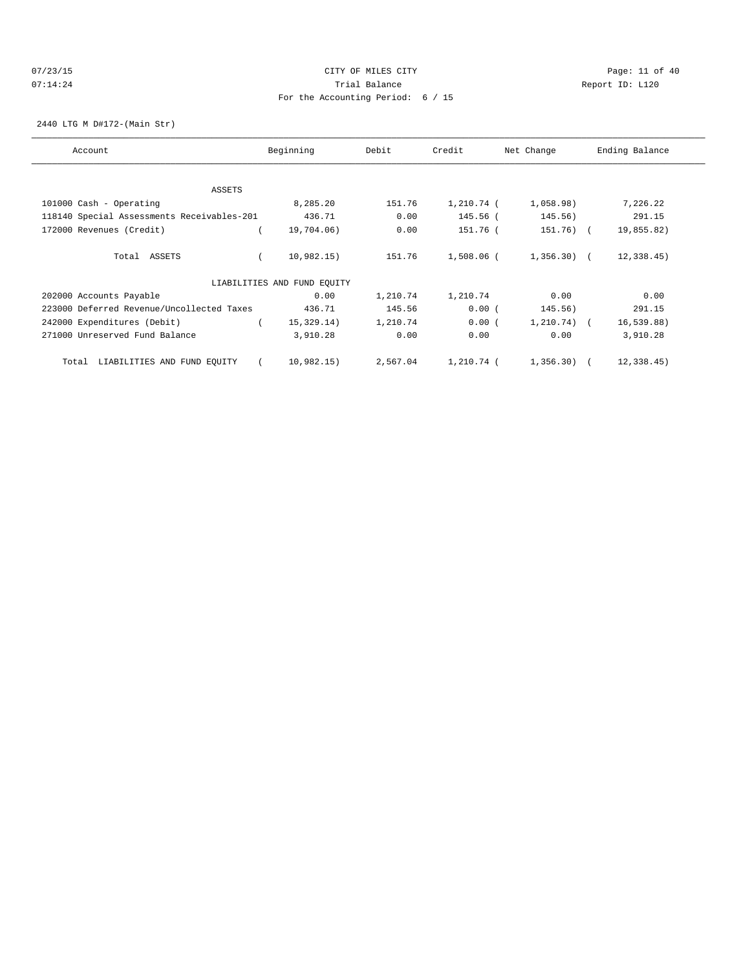## 07/23/15 Page: 11 of 40 07:14:24 **Trial Balance Constanting Constanting Constanting Constanting Constanting Constanting Constanting Constanting Constanting Constanting Constanting Constanting Constanting Constanting Constanting Constanting Cons** For the Accounting Period: 6 / 15

2440 LTG M D#172-(Main Str)

| Account                                    | Beginning                   | Debit    | Credit     | Net Change   | Ending Balance |
|--------------------------------------------|-----------------------------|----------|------------|--------------|----------------|
|                                            |                             |          |            |              |                |
| ASSETS                                     |                             |          |            |              |                |
| 101000 Cash - Operating                    | 8,285.20                    | 151.76   | 1,210.74 ( | 1,058.98)    | 7,226.22       |
| 118140 Special Assessments Receivables-201 | 436.71                      | 0.00     | 145.56 (   | 145.56)      | 291.15         |
| 172000 Revenues (Credit)                   | 19,704.06)                  | 0.00     | 151.76 (   | 151.76) (    | 19,855.82)     |
| Total ASSETS                               | 10,982.15)                  | 151.76   | 1,508.06 ( | $1,356.30$ ( | 12,338.45)     |
|                                            | LIABILITIES AND FUND EQUITY |          |            |              |                |
| 202000 Accounts Payable                    | 0.00                        | 1,210.74 | 1,210.74   | 0.00         | 0.00           |
| 223000 Deferred Revenue/Uncollected Taxes  | 436.71                      | 145.56   | 0.00(      | 145.56)      | 291.15         |
| 242000 Expenditures (Debit)                | 15,329.14)                  | 1,210.74 | 0.00(      | $1,210.74$ ( | 16, 539.88)    |
| 271000 Unreserved Fund Balance             | 3,910.28                    | 0.00     | 0.00       | 0.00         | 3,910.28       |
| Total LIABILITIES AND FUND EQUITY          | 10,982.15)                  | 2,567.04 | 1,210.74 ( | 1,356.30) (  | 12,338.45)     |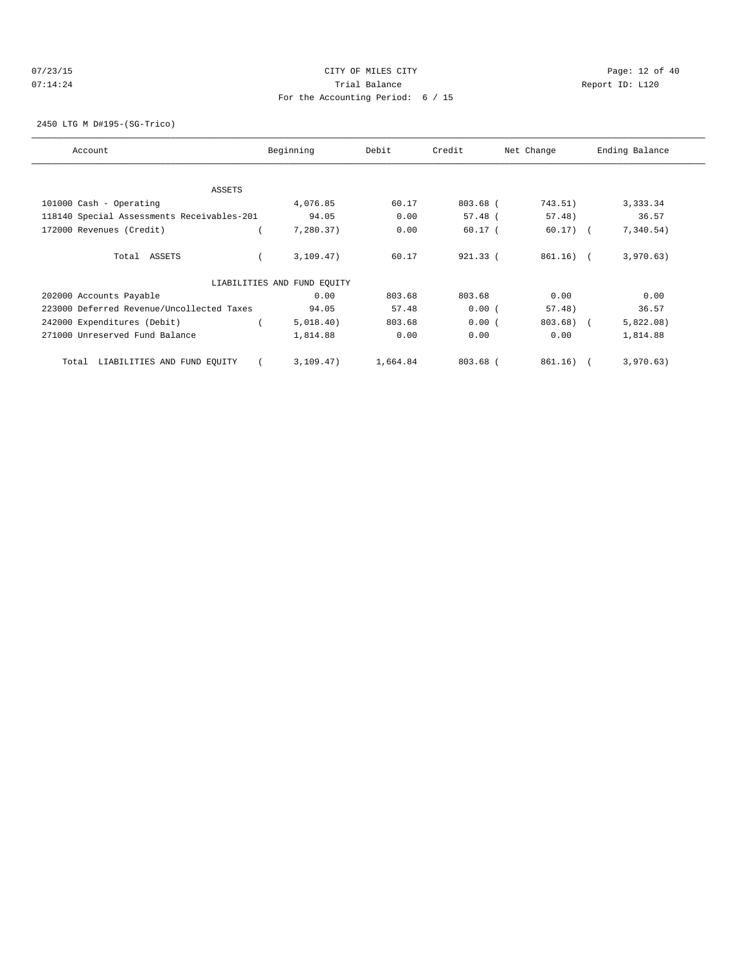## 07/23/15 Page: 12 of 40 07:14:24 **Trial Balance Constanting Constanting Constanting Constanting Constanting Constanting Constanting Constanting Constanting Constanting Constanting Constanting Constanting Constanting Constanting Constanting Cons** For the Accounting Period: 6 / 15

2450 LTG M D#195-(SG-Trico)

| Account                                    | Beginning                   | Debit    | Credit     | Net Change  | Ending Balance |
|--------------------------------------------|-----------------------------|----------|------------|-------------|----------------|
|                                            |                             |          |            |             |                |
| ASSETS                                     |                             |          |            |             |                |
| 101000 Cash - Operating                    | 4,076.85                    | 60.17    | 803.68 (   | 743.51)     | 3,333.34       |
| 118140 Special Assessments Receivables-201 | 94.05                       | 0.00     | $57.48$ (  | 57.48)      | 36.57          |
| 172000 Revenues (Credit)                   | 7,280.37)                   | 0.00     | $60.17$ (  | $60.17)$ (  | 7,340.54)      |
| Total ASSETS                               | 3,109.47)                   | 60.17    | $921.33$ ( | $861.16)$ ( | 3,970.63)      |
|                                            | LIABILITIES AND FUND EQUITY |          |            |             |                |
| 202000 Accounts Payable                    | 0.00                        | 803.68   | 803.68     | 0.00        | 0.00           |
| 223000 Deferred Revenue/Uncollected Taxes  | 94.05                       | 57.48    | 0.00(      | 57.48)      | 36.57          |
| 242000 Expenditures (Debit)                | 5,018.40)                   | 803.68   | 0.00(      | $803.68$ (  | 5,822.08)      |
| 271000 Unreserved Fund Balance             | 1,814.88                    | 0.00     | 0.00       | 0.00        | 1,814.88       |
| LIABILITIES AND FUND EQUITY<br>Total       | 3, 109.47)                  | 1,664.84 | $803.68$ ( | 861.16)     | 3,970.63)      |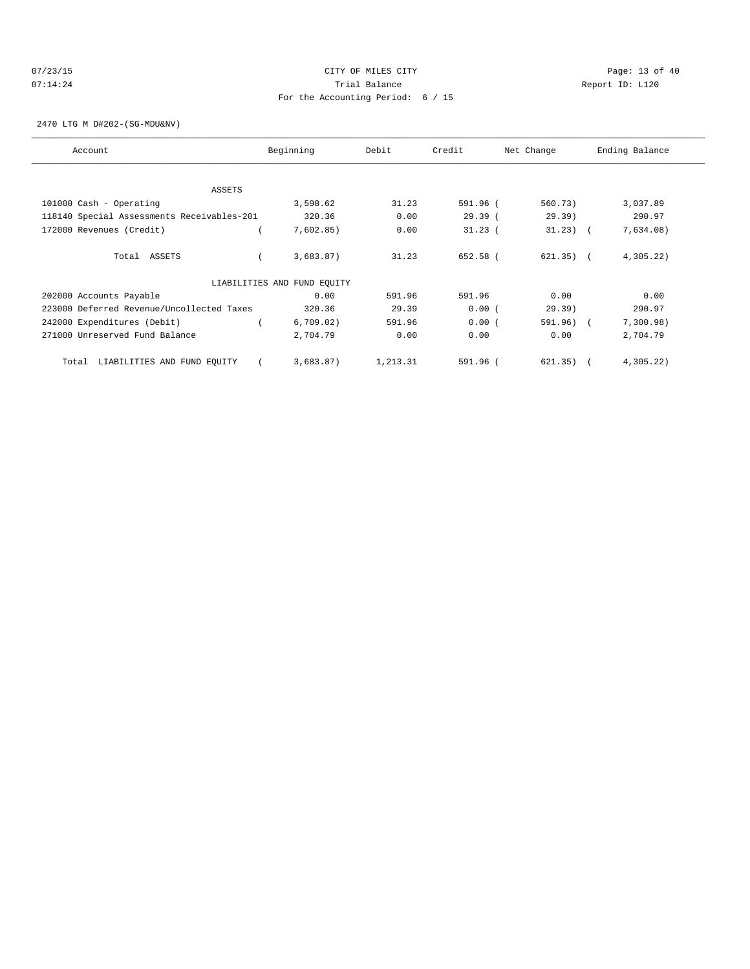## 07/23/15 Page: 13 of 40 07:14:24 **Trial Balance Constanting Constanting Constanting Constanting Constanting Constanting Constanting Constanting Constanting Constanting Constanting Constanting Constanting Constanting Constanting Constanting Cons** For the Accounting Period: 6 / 15

2470 LTG M D#202-(SG-MDU&NV)

| Account                                    | Beginning                   | Debit    | Credit    | Net Change  | Ending Balance |
|--------------------------------------------|-----------------------------|----------|-----------|-------------|----------------|
|                                            |                             |          |           |             |                |
| ASSETS                                     |                             |          |           |             |                |
| 101000 Cash - Operating                    | 3,598.62                    | 31.23    | 591.96 (  | 560.73)     | 3,037.89       |
| 118140 Special Assessments Receivables-201 | 320.36                      | 0.00     | 29.39(    | 29.39       | 290.97         |
| 172000 Revenues (Credit)                   | 7,602.85)                   | 0.00     | $31.23$ ( | $31.23$ (   | 7,634.08)      |
| Total ASSETS                               | 3,683.87)                   | 31.23    | 652.58 (  | $621.35)$ ( | 4,305.22       |
|                                            | LIABILITIES AND FUND EQUITY |          |           |             |                |
| 202000 Accounts Payable                    | 0.00                        | 591.96   | 591.96    | 0.00        | 0.00           |
| 223000 Deferred Revenue/Uncollected Taxes  | 320.36                      | 29.39    | 0.00(     | 29.39)      | 290.97         |
| 242000 Expenditures (Debit)                | 6,709.02)                   | 591.96   | 0.00(     | 591.96) (   | 7,300.98)      |
| 271000 Unreserved Fund Balance             | 2,704.79                    | 0.00     | 0.00      | 0.00        | 2,704.79       |
| LIABILITIES AND FUND EQUITY<br>Total       | 3,683.87)                   | 1,213.31 | 591.96 (  | 621.35)     | 4,305.22       |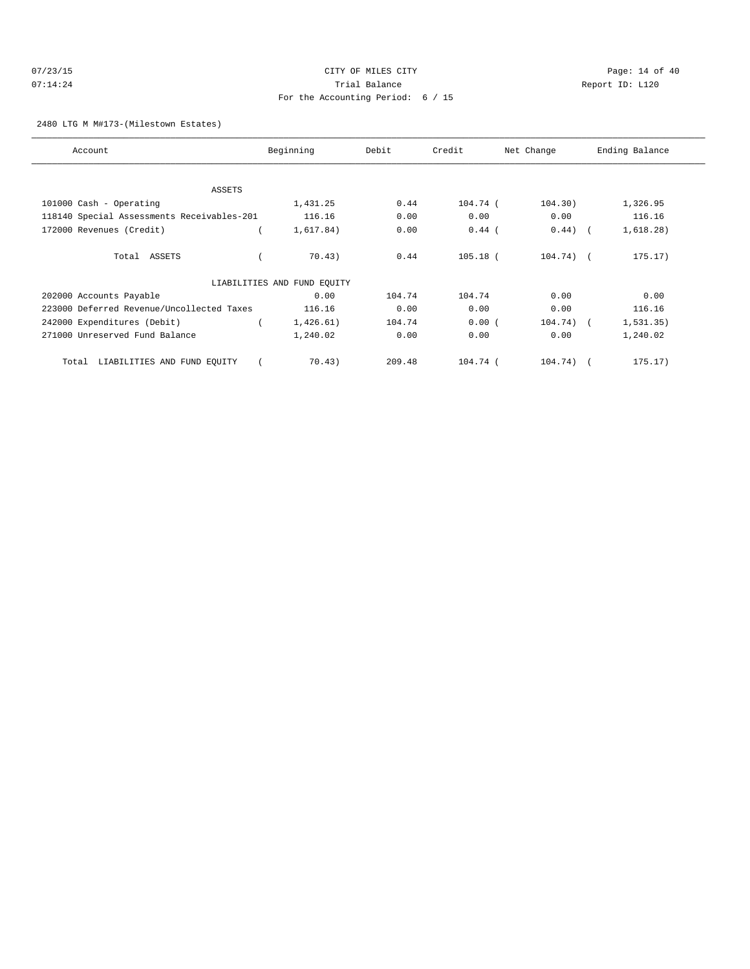## $07/23/15$  Page: 14 of 40 07:14:24 **Trial Balance Constanting Constanting Constanting Constanting Constanting Constanting Constanting Constanting Constanting Constanting Constanting Constanting Constanting Constanting Constanting Constanting Cons** For the Accounting Period: 6 / 15

2480 LTG M M#173-(Milestown Estates)

| Account                                    | Beginning                   | Debit  | Credit     | Net Change  | Ending Balance |
|--------------------------------------------|-----------------------------|--------|------------|-------------|----------------|
|                                            |                             |        |            |             |                |
| ASSETS                                     |                             |        |            |             |                |
| 101000 Cash - Operating                    | 1,431.25                    | 0.44   | 104.74 (   | 104.30)     | 1,326.95       |
| 118140 Special Assessments Receivables-201 | 116.16                      | 0.00   | 0.00       | 0.00        | 116.16         |
| 172000 Revenues (Credit)                   | 1,617.84)                   | 0.00   | $0.44$ (   | $0.44)$ (   | 1,618.28)      |
| Total ASSETS                               | 70.43)                      | 0.44   | $105.18$ ( | $104.74)$ ( | 175.17)        |
|                                            | LIABILITIES AND FUND EQUITY |        |            |             |                |
| 202000 Accounts Payable                    | 0.00                        | 104.74 | 104.74     | 0.00        | 0.00           |
| 223000 Deferred Revenue/Uncollected Taxes  | 116.16                      | 0.00   | 0.00       | 0.00        | 116.16         |
| 242000 Expenditures (Debit)                | 1,426.61)                   | 104.74 | 0.00(      | $104.74)$ ( | 1, 531.35)     |
| 271000 Unreserved Fund Balance             | 1,240.02                    | 0.00   | 0.00       | 0.00        | 1,240.02       |
| LIABILITIES AND FUND EQUITY<br>Total       | 70.43)                      | 209.48 | 104.74 (   | 104.74)     | 175.17)        |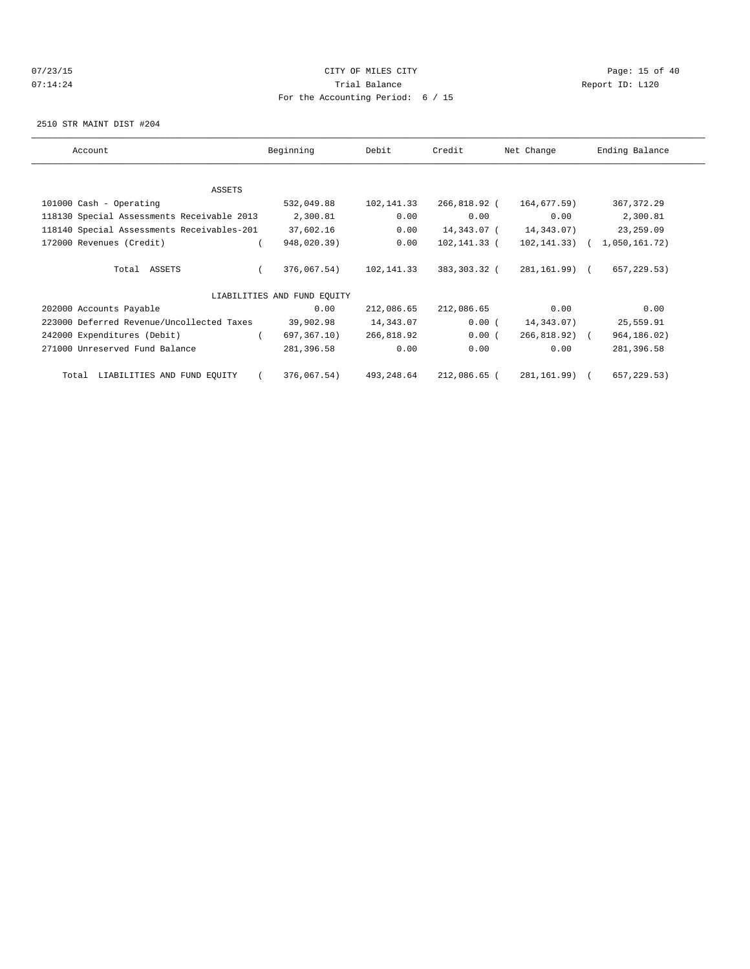## 07/23/15 Page: 15 of 40 07:14:24 **Trial Balance Constanting Constanting Constanting Constanting Constanting Constanting Constanting Constanting Constanting Constanting Constanting Constanting Constanting Constanting Constanting Constanting Cons** For the Accounting Period: 6 / 15

2510 STR MAINT DIST #204

| Account                                    | Beginning                   | Debit      | Credit       | Net Change    | Ending Balance |
|--------------------------------------------|-----------------------------|------------|--------------|---------------|----------------|
|                                            |                             |            |              |               |                |
| ASSETS                                     |                             |            |              |               |                |
| 101000 Cash - Operating                    | 532,049.88                  | 102,141.33 | 266,818.92 ( | 164,677.59)   | 367, 372.29    |
| 118130 Special Assessments Receivable 2013 | 2,300.81                    | 0.00       | 0.00         | 0.00          | 2,300.81       |
| 118140 Special Assessments Receivables-201 | 37,602.16                   | 0.00       | 14,343.07 (  | 14,343.07)    | 23, 259.09     |
| 172000 Revenues (Credit)                   | 948,020.39)                 | 0.00       | 102,141.33 ( | 102, 141, 33) | 1,050,161.72)  |
|                                            |                             |            |              |               |                |
| Total ASSETS                               | 376,067.54)                 | 102,141.33 | 383,303.32 ( | 281,161.99) ( | 657,229.53)    |
|                                            |                             |            |              |               |                |
|                                            | LIABILITIES AND FUND EOUITY |            |              |               |                |
| 202000 Accounts Payable                    | 0.00                        | 212,086.65 | 212,086.65   | 0.00          | 0.00           |
| 223000 Deferred Revenue/Uncollected Taxes  | 39,902.98                   | 14,343.07  | 0.00(        | 14,343.07)    | 25,559.91      |
| 242000 Expenditures (Debit)                | 697, 367.10)                | 266,818.92 | 0.00(        | 266,818.92) ( | 964, 186.02)   |
| 271000 Unreserved Fund Balance             | 281,396.58                  | 0.00       | 0.00         | 0.00          | 281,396.58     |
|                                            |                             |            |              |               |                |
| LIABILITIES AND FUND EQUITY<br>Total       | 376,067.54)                 | 493,248.64 | 212,086.65 ( | 281,161.99) ( | 657,229.53)    |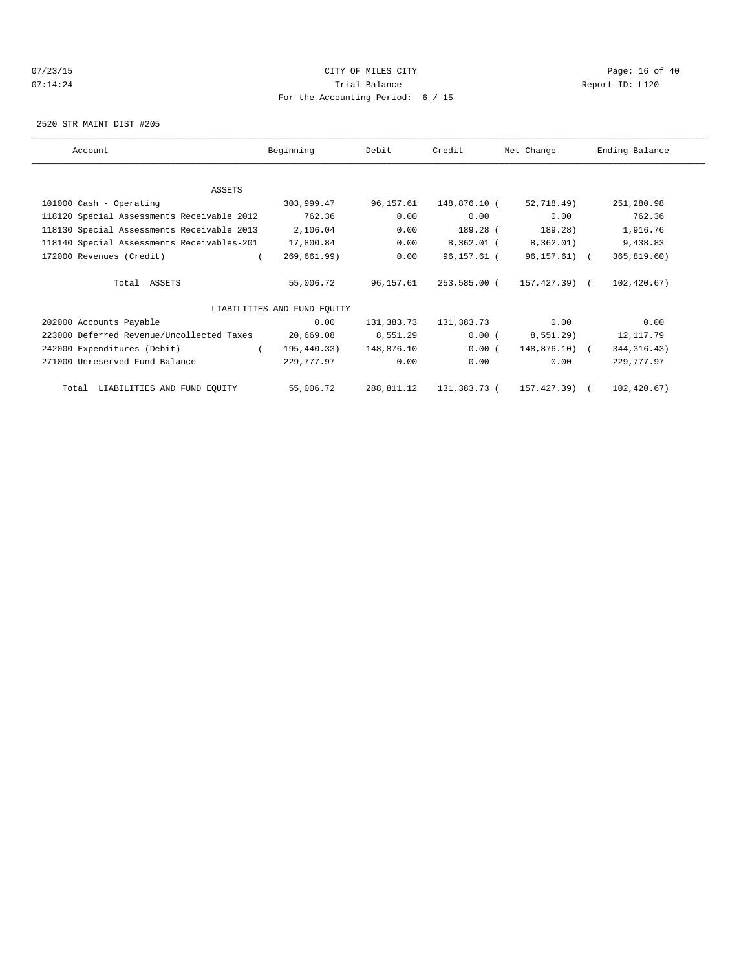# $07/23/15$  Page: 16 of 40 07:14:24 **Trial Balance Constanting Constanting Constanting Constanting Constanting Constanting Constanting Constanting Constanting Constanting Constanting Constanting Constanting Constanting Constanting Constanting Cons** For the Accounting Period: 6 / 15

2520 STR MAINT DIST #205

| Account                                    | Beginning                   | Debit      | Credit       | Net Change    | Ending Balance |
|--------------------------------------------|-----------------------------|------------|--------------|---------------|----------------|
| ASSETS                                     |                             |            |              |               |                |
| 101000 Cash - Operating                    | 303,999.47                  | 96,157.61  | 148,876.10 ( | 52,718.49)    | 251,280.98     |
| 118120 Special Assessments Receivable 2012 | 762.36                      | 0.00       | 0.00         | 0.00          | 762.36         |
| 118130 Special Assessments Receivable 2013 | 2,106.04                    | 0.00       | 189.28 (     | 189.28)       | 1,916.76       |
| 118140 Special Assessments Receivables-201 | 17,800.84                   | 0.00       | 8,362.01 (   | 8,362.01)     | 9,438.83       |
| 172000 Revenues (Credit)                   | 269,661.99)                 | 0.00       | 96,157.61 (  | 96,157.61) (  | 365, 819.60)   |
| Total ASSETS                               | 55,006.72                   | 96,157.61  | 253,585.00 ( | 157,427.39) ( | 102,420.67)    |
|                                            | LIABILITIES AND FUND EQUITY |            |              |               |                |
| 202000 Accounts Payable                    | 0.00                        | 131,383.73 | 131,383.73   | 0.00          | 0.00           |
| 223000 Deferred Revenue/Uncollected Taxes  | 20,669.08                   | 8,551.29   | 0.00(        | 8,551.29)     | 12,117.79      |
| 242000 Expenditures (Debit)                | 195,440.33)<br>$\sqrt{2}$   | 148,876.10 | 0.00(        | 148,876.10) ( | 344, 316.43)   |
| 271000 Unreserved Fund Balance             | 229,777.97                  | 0.00       | 0.00         | 0.00          | 229,777.97     |
| Total LIABILITIES AND FUND EQUITY          | 55,006.72                   | 288,811.12 | 131,383.73 ( | 157,427.39) ( | 102,420.67)    |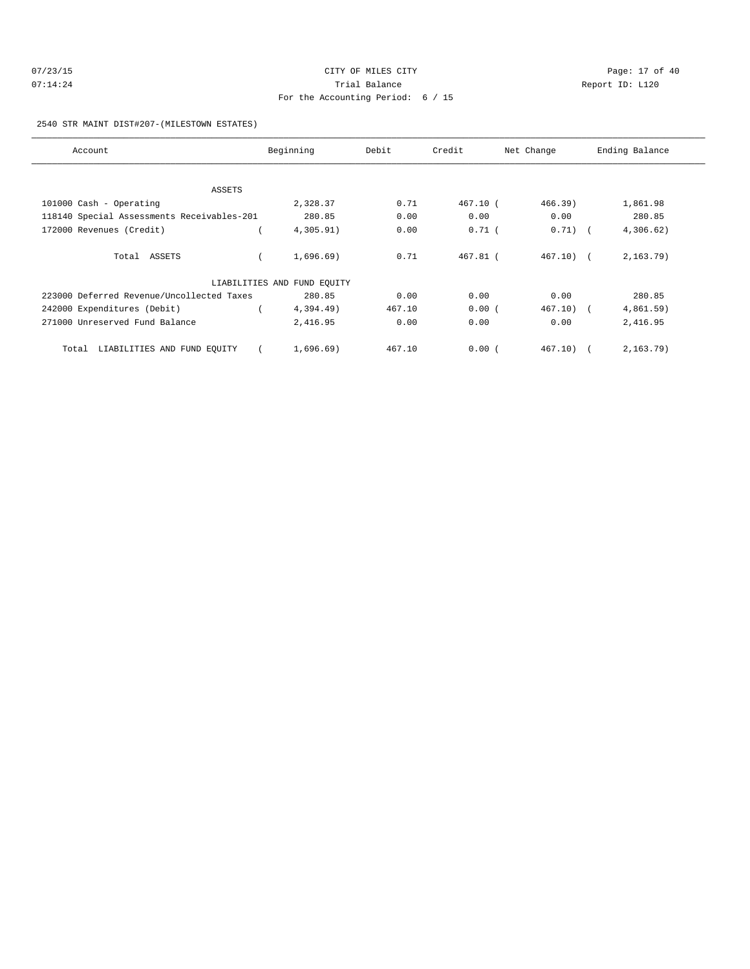| 07/23/15 | CITY OF MILES CITY                | Page: 17 of 40  |
|----------|-----------------------------------|-----------------|
| 07:14:24 | Trial Balance                     | Report ID: L120 |
|          | For the Accounting Period: 6 / 15 |                 |

2540 STR MAINT DIST#207-(MILESTOWN ESTATES)

| Account                                    | Beginning                   | Debit  | Credit     | Net Change   | Ending Balance |
|--------------------------------------------|-----------------------------|--------|------------|--------------|----------------|
|                                            |                             |        |            |              |                |
| ASSETS                                     |                             |        |            |              |                |
| 101000 Cash - Operating                    | 2,328.37                    | 0.71   | 467.10 (   | 466.39       | 1,861.98       |
| 118140 Special Assessments Receivables-201 | 280.85                      | 0.00   | 0.00       | 0.00         | 280.85         |
| 172000 Revenues (Credit)                   | 4,305.91)                   | 0.00   | $0.71$ (   | $0.71)$ (    | 4,306.62)      |
| Total ASSETS                               | 1.696.69                    | 0.71   | $467.81$ ( | $467.10$ ) ( | 2,163.79)      |
|                                            | LIABILITIES AND FUND EOUITY |        |            |              |                |
| 223000 Deferred Revenue/Uncollected Taxes  | 280.85                      | 0.00   | 0.00       | 0.00         | 280.85         |
| 242000 Expenditures (Debit)                | 4,394.49)                   | 467.10 | 0.00(      | $467.10$ (   | 4,861.59)      |
| 271000 Unreserved Fund Balance             | 2,416.95                    | 0.00   | 0.00       | 0.00         | 2,416.95       |
| Total LIABILITIES AND FUND EQUITY          | 1,696.69)                   | 467.10 | 0.00(      | $467.10$ (   | $2, 163.79$ )  |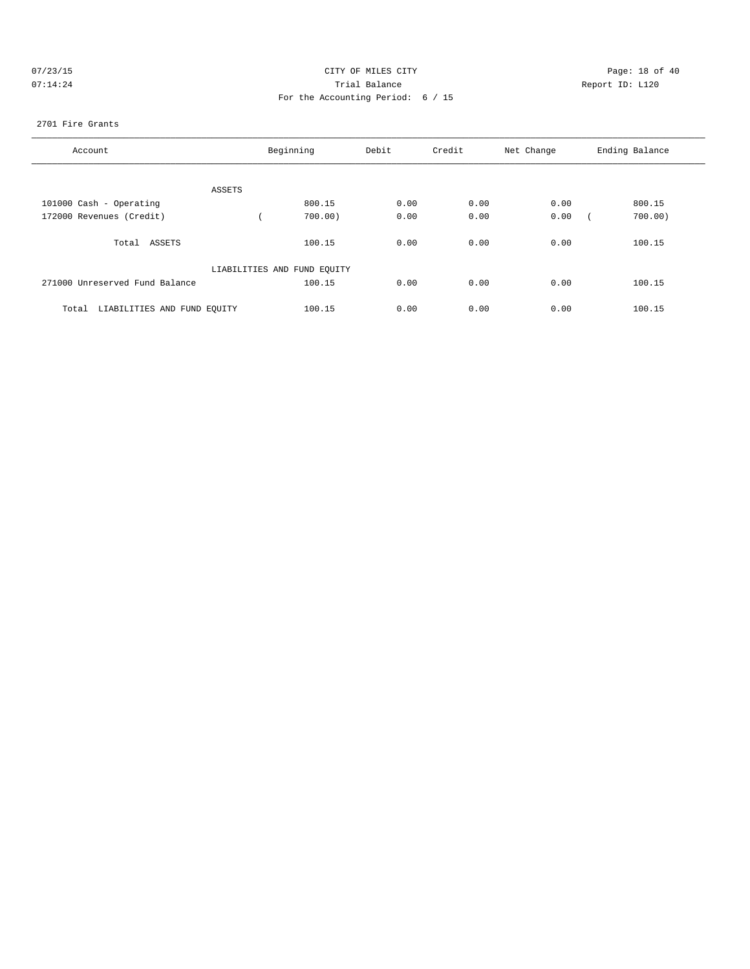| 07/23/15                  |  |  |  |
|---------------------------|--|--|--|
| $0.7 \cdot 1.1 \cdot 2.1$ |  |  |  |

# CITY OF MILES CITY CONTROL CONTROL CONTROL CONTROL CITY 07:14:24 Report ID: L120 For the Accounting Period: 6 / 15

### 2701 Fire Grants

| Account                              |        | Beginning                   | Debit | Credit | Net Change | Ending Balance |
|--------------------------------------|--------|-----------------------------|-------|--------|------------|----------------|
|                                      |        |                             |       |        |            |                |
|                                      | ASSETS |                             |       |        |            |                |
| 101000 Cash - Operating              |        | 800.15                      | 0.00  | 0.00   | 0.00       | 800.15         |
| 172000 Revenues (Credit)             |        | 700.00)                     | 0.00  | 0.00   | 0.00       | 700.00)        |
| Total ASSETS                         |        | 100.15                      | 0.00  | 0.00   | 0.00       | 100.15         |
|                                      |        | LIABILITIES AND FUND EQUITY |       |        |            |                |
| 271000 Unreserved Fund Balance       |        | 100.15                      | 0.00  | 0.00   | 0.00       | 100.15         |
| LIABILITIES AND FUND EQUITY<br>Total |        | 100.15                      | 0.00  | 0.00   | 0.00       | 100.15         |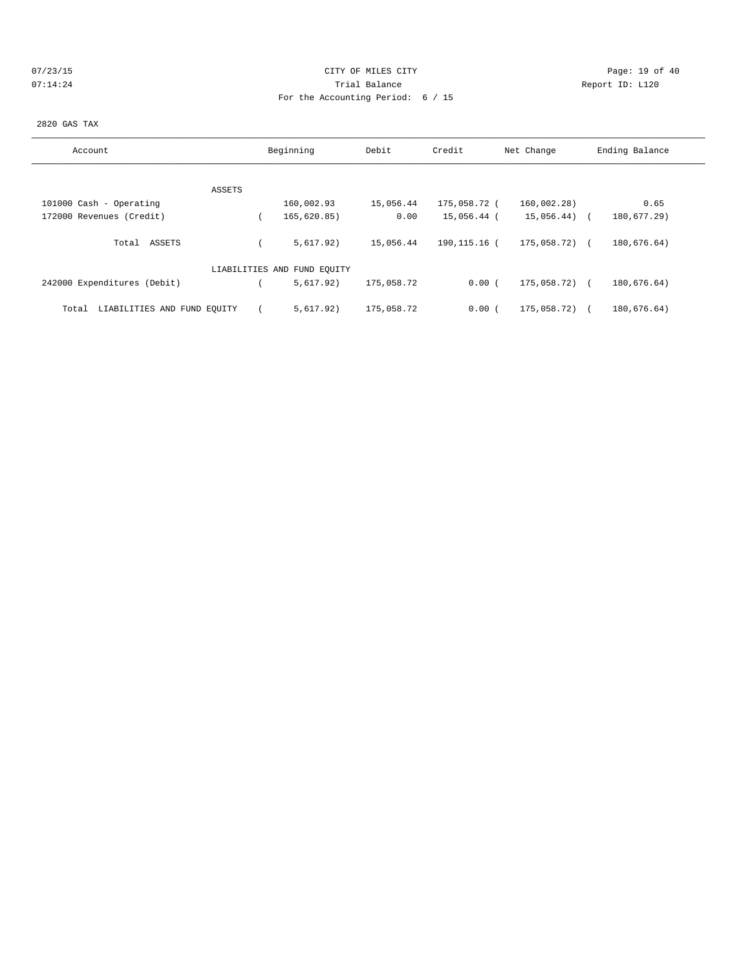## 07/23/15 Page: 19 of 40 07:14:24 **Trial Balance Constanting Constanting Constanting Constanting Constanting Constanting Constanting Constanting Constanting Constanting Constanting Constanting Constanting Constanting Constanting Constanting Cons** For the Accounting Period: 6 / 15

#### 2820 GAS TAX

| Account                              | Beginning                   | Debit      | Credit       | Net Change      | Ending Balance |
|--------------------------------------|-----------------------------|------------|--------------|-----------------|----------------|
|                                      |                             |            |              |                 |                |
| ASSETS                               |                             |            |              |                 |                |
| 101000 Cash - Operating              | 160,002.93                  | 15,056.44  | 175,058.72 ( | 160,002.28)     | 0.65           |
| 172000 Revenues (Credit)             | 165,620.85)                 | 0.00       | 15,056.44 (  | $15,056.44$ ) ( | 180,677.29)    |
| Total ASSETS                         | 5.617.92)                   | 15,056.44  | 190,115.16 ( | 175,058.72) (   | 180,676.64)    |
|                                      | LIABILITIES AND FUND EQUITY |            |              |                 |                |
| 242000 Expenditures (Debit)          | 5.617.92)                   | 175,058.72 | 0.00(        | 175,058.72)     | 180,676.64)    |
| LIABILITIES AND FUND EQUITY<br>Total | 5.617.92)                   | 175,058.72 | 0.00(        | 175,058.72)     | 180,676.64)    |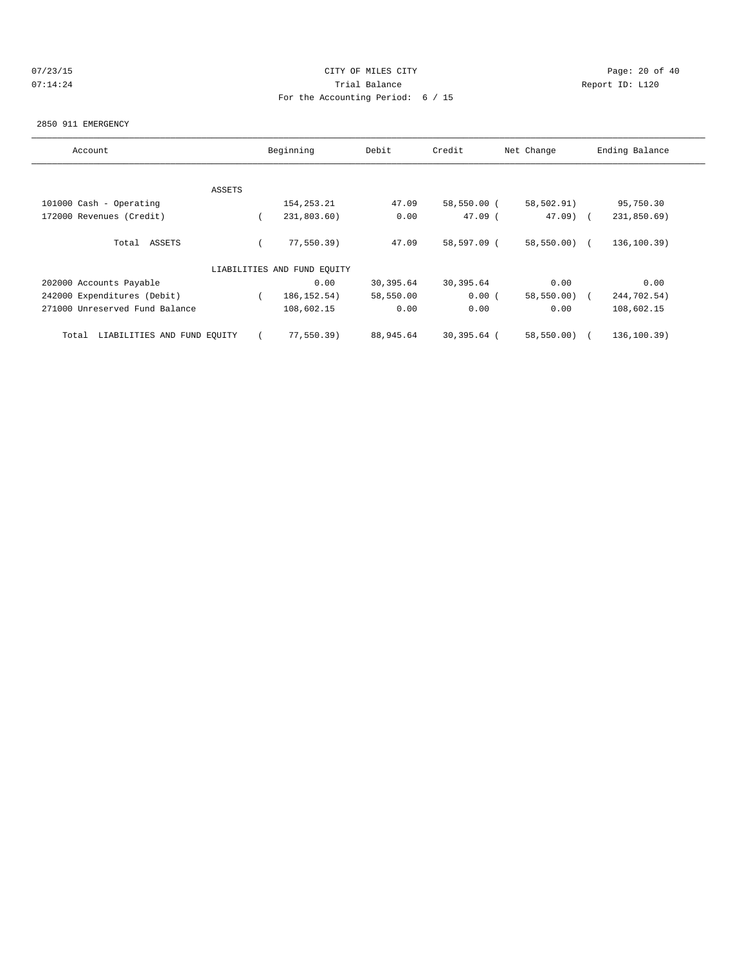# 07/23/15 Page: 20 of 40 07:14:24 **Trial Balance Constanting Constanting Constanting Constanting Constanting Constanting Constanting Constanting Constanting Constanting Constanting Constanting Constanting Constanting Constanting Constanting Cons** For the Accounting Period: 6 / 15

#### 2850 911 EMERGENCY

| Account                              |        | Beginning                   | Debit     | Credit      | Net Change   | Ending Balance |
|--------------------------------------|--------|-----------------------------|-----------|-------------|--------------|----------------|
|                                      |        |                             |           |             |              |                |
|                                      | ASSETS |                             |           |             |              |                |
| 101000 Cash - Operating              |        | 154, 253. 21                | 47.09     | 58,550.00 ( | 58,502.91)   | 95,750.30      |
| 172000 Revenues (Credit)             |        | 231,803.60)                 | 0.00      | $47.09$ (   | $47.09$ (    | 231,850.69)    |
| Total ASSETS                         |        | 77, 550.39)                 | 47.09     | 58,597.09 ( | 58,550.00)   | 136, 100.39)   |
|                                      |        | LIABILITIES AND FUND EQUITY |           |             |              |                |
| 202000 Accounts Payable              |        | 0.00                        | 30,395.64 | 30,395.64   | 0.00         | 0.00           |
| 242000 Expenditures (Debit)          |        | 186, 152.54)                | 58,550.00 | 0.00(       | 58,550.00) ( | 244,702.54)    |
| 271000 Unreserved Fund Balance       |        | 108,602.15                  | 0.00      | 0.00        | 0.00         | 108,602.15     |
| LIABILITIES AND FUND EQUITY<br>Total |        | 77,550.39)                  | 88,945.64 | 30,395.64 ( | 58,550.00)   | 136,100.39)    |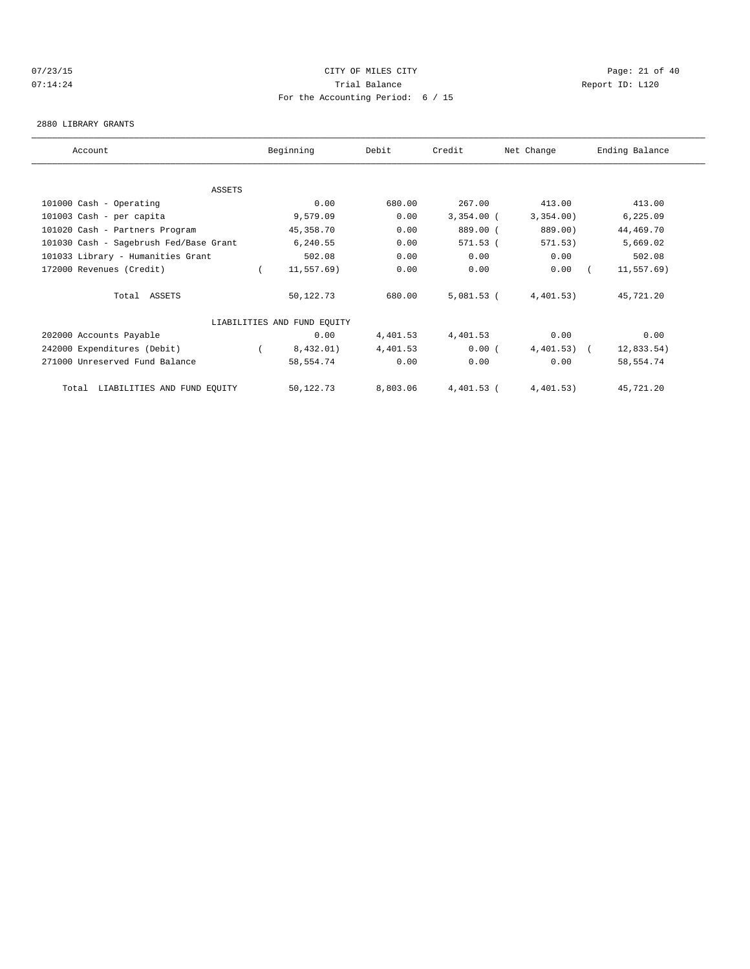## 07/23/15 Page: 21 of 40 07:14:24 **Trial Balance Constanting Constanting Constanting Constanting Constanting Constanting Constanting Constanting Constanting Constanting Constanting Constanting Constanting Constanting Constanting Constanting Cons** For the Accounting Period: 6 / 15

#### 2880 LIBRARY GRANTS

| Account                                | Beginning                   | Debit    | Credit       | Net Change   | Ending Balance |  |
|----------------------------------------|-----------------------------|----------|--------------|--------------|----------------|--|
|                                        |                             |          |              |              |                |  |
| ASSETS                                 |                             |          |              |              |                |  |
| 101000 Cash - Operating                | 0.00                        | 680.00   | 267.00       | 413.00       | 413.00         |  |
| 101003 Cash - per capita               | 9,579.09                    | 0.00     | $3,354.00$ ( | 3,354.00)    | 6, 225.09      |  |
| 101020 Cash - Partners Program         | 45,358.70                   | 0.00     | 889.00 (     | 889.00)      | 44,469.70      |  |
| 101030 Cash - Sagebrush Fed/Base Grant | 6,240.55                    | 0.00     | 571.53 (     | 571.53)      | 5,669.02       |  |
| 101033 Library - Humanities Grant      | 502.08                      | 0.00     | 0.00         | 0.00         | 502.08         |  |
| 172000 Revenues (Credit)               | 11,557.69)                  | 0.00     | 0.00         | 0.00         | $11, 557.69$ ) |  |
| Total ASSETS                           | 50,122.73                   | 680.00   | $5,081.53$ ( | 4,401.53)    | 45,721.20      |  |
|                                        | LIABILITIES AND FUND EQUITY |          |              |              |                |  |
| 202000 Accounts Payable                | 0.00                        | 4,401.53 | 4,401.53     | 0.00         | 0.00           |  |
| 242000 Expenditures (Debit)            | 8,432.01)                   | 4,401.53 | 0.00(        | $4,401.53$ ( | 12,833.54)     |  |
| 271000 Unreserved Fund Balance         | 58,554.74                   | 0.00     | 0.00         | 0.00         | 58,554.74      |  |
| LIABILITIES AND FUND EQUITY<br>Total   | 50,122.73                   | 8,803.06 | $4,401.53$ ( | 4,401.53)    | 45,721.20      |  |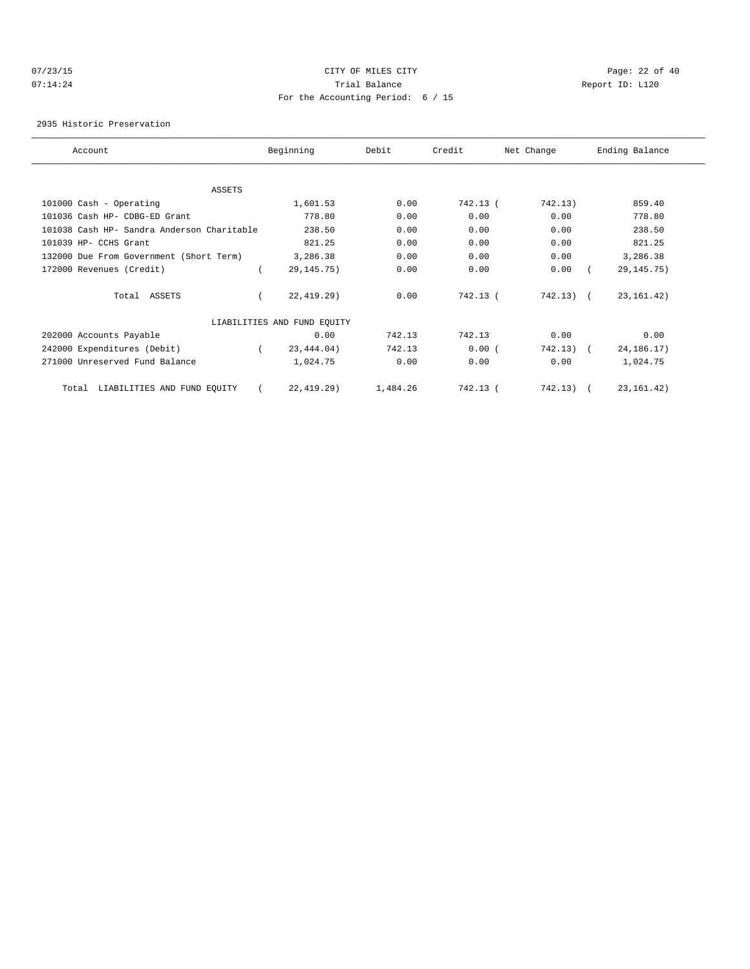## 07/23/15 Page: 22 of 40 07:14:24 **Trial Balance Constanting Constanting Constanting Constanting Constanting Constanting Constanting Constanting Constanting Constanting Constanting Constanting Constanting Constanting Constanting Constanting Cons** For the Accounting Period: 6 / 15

2935 Historic Preservation

| Account                                    | Beginning                   | Debit    | Credit   | Net Change  | Ending Balance |  |
|--------------------------------------------|-----------------------------|----------|----------|-------------|----------------|--|
|                                            |                             |          |          |             |                |  |
| ASSETS                                     |                             |          |          |             |                |  |
| 101000 Cash - Operating                    | 1,601.53                    | 0.00     | 742.13 ( | 742.13)     | 859.40         |  |
| 101036 Cash HP- CDBG-ED Grant              | 778.80                      | 0.00     | 0.00     | 0.00        | 778.80         |  |
| 101038 Cash HP- Sandra Anderson Charitable | 238.50                      | 0.00     | 0.00     | 0.00        | 238.50         |  |
| 101039 HP- CCHS Grant                      | 821.25                      | 0.00     | 0.00     | 0.00        | 821.25         |  |
| 132000 Due From Government (Short Term)    | 3,286.38                    | 0.00     | 0.00     | 0.00        | 3,286.38       |  |
| 172000 Revenues (Credit)                   | 29, 145. 75)                | 0.00     | 0.00     | 0.00        | 29, 145. 75)   |  |
| Total ASSETS                               | 22, 419.29)                 | 0.00     | 742.13 ( | $742.13)$ ( | 23, 161. 42)   |  |
|                                            | LIABILITIES AND FUND EQUITY |          |          |             |                |  |
| 202000 Accounts Payable                    | 0.00                        | 742.13   | 742.13   | 0.00        | 0.00           |  |
| 242000 Expenditures (Debit)                | 23,444.04)                  | 742.13   | 0.00(    | 742.13)     | 24, 186. 17)   |  |
| 271000 Unreserved Fund Balance             | 1,024.75                    | 0.00     | 0.00     | 0.00        | 1,024.75       |  |
| LIABILITIES AND FUND EQUITY<br>Total       | 22, 419.29)                 | 1,484.26 | 742.13 ( | 742.13)     | 23, 161. 42)   |  |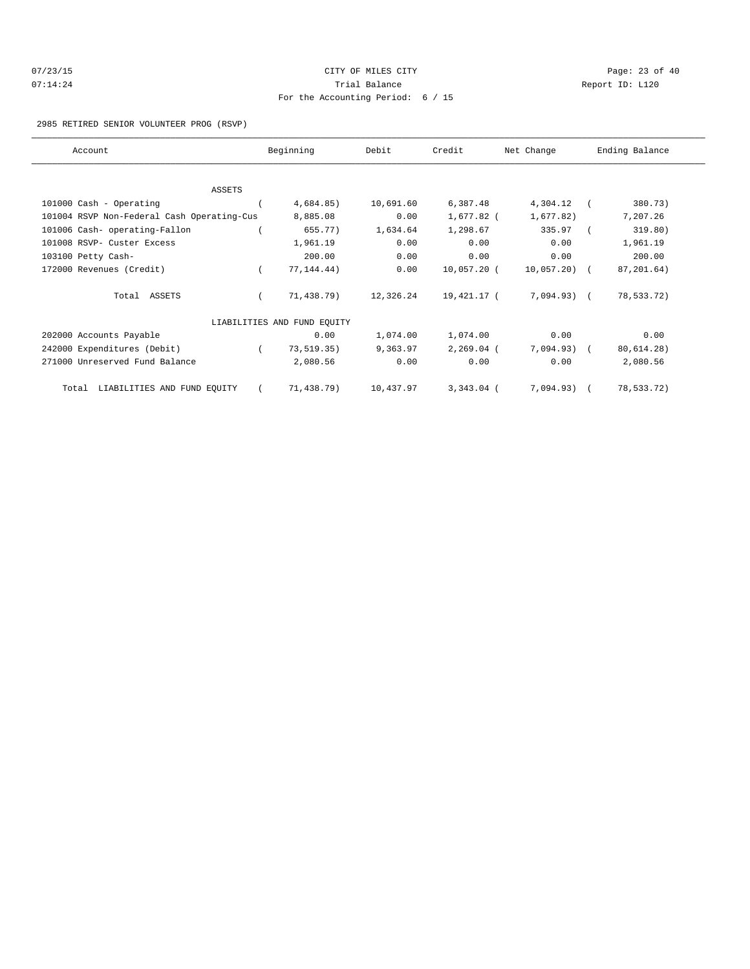| 07/23/15 | CITY OF MILES CITY                  |     |
|----------|-------------------------------------|-----|
| 07:14:24 | Trial Balance                       | Rer |
|          | For the Accounting Period: $6 / 15$ |     |

Page: 23 of 40 port ID: L120

### 2985 RETIRED SENIOR VOLUNTEER PROG (RSVP)

| Account                                    | Beginning                   | Debit     | Credit       | Net Change   |            | Ending Balance |  |
|--------------------------------------------|-----------------------------|-----------|--------------|--------------|------------|----------------|--|
|                                            |                             |           |              |              |            |                |  |
| ASSETS                                     |                             |           |              |              |            |                |  |
| 101000 Cash - Operating                    | 4,684.85)                   | 10,691.60 | 6,387.48     | 4,304.12     | $\sqrt{2}$ | 380.73)        |  |
| 101004 RSVP Non-Federal Cash Operating-Cus | 8,885.08                    | 0.00      | 1,677.82 (   | 1,677.82)    |            | 7,207.26       |  |
| 101006 Cash- operating-Fallon              | 655.77)                     | 1,634.64  | 1,298.67     | 335.97       |            | 319.80)        |  |
| 101008 RSVP- Custer Excess                 | 1,961.19                    | 0.00      | 0.00         | 0.00         |            | 1,961.19       |  |
| 103100 Petty Cash-                         | 200.00                      | 0.00      | 0.00         | 0.00         |            | 200.00         |  |
| 172000 Revenues (Credit)                   | 77, 144. 44)                | 0.00      | 10,057.20 (  | 10,057.20) ( |            | 87,201.64)     |  |
| Total ASSETS                               | 71,438.79)                  | 12,326.24 | 19,421.17 (  | 7,094.93) (  |            | 78,533.72)     |  |
|                                            | LIABILITIES AND FUND EQUITY |           |              |              |            |                |  |
| 202000 Accounts Payable                    | 0.00                        | 1,074.00  | 1,074.00     | 0.00         |            | 0.00           |  |
| 242000 Expenditures (Debit)                | 73,519.35)                  | 9,363.97  | $2,269.04$ ( | 7,094.93) (  |            | 80, 614.28)    |  |
| 271000 Unreserved Fund Balance             | 2,080.56                    | 0.00      | 0.00         | 0.00         |            | 2,080.56       |  |
| LIABILITIES AND FUND EQUITY<br>Total       | 71,438.79)                  | 10,437.97 | $3,343.04$ ( | 7,094.93)    |            | 78,533.72)     |  |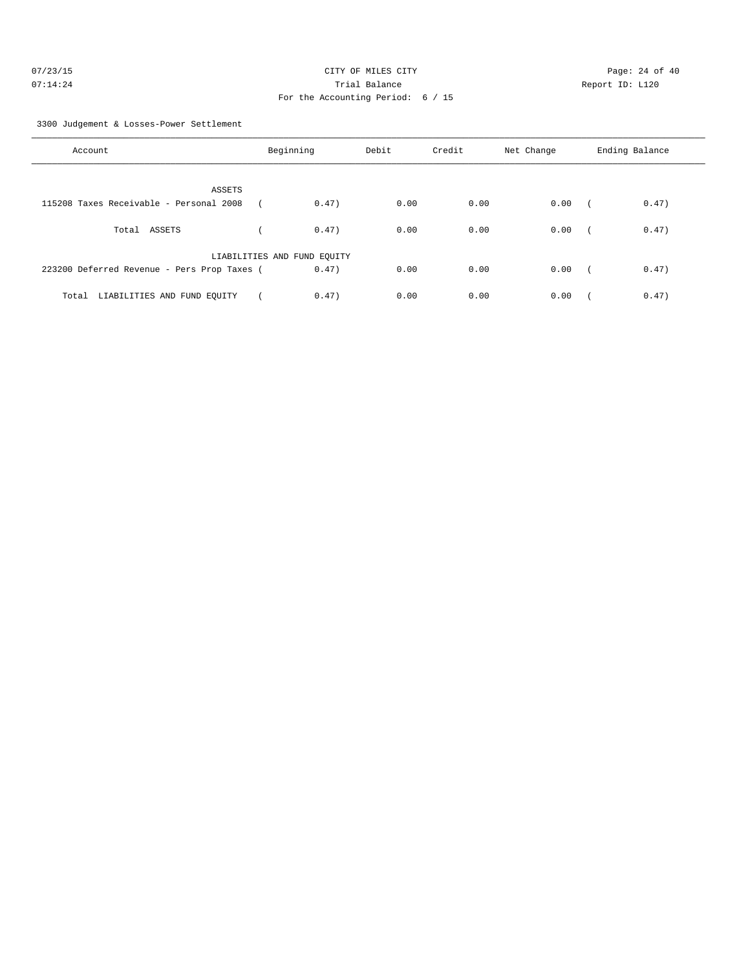| 07/23/15 | CITY OF MILES CITY                  | Page: $24o$     |
|----------|-------------------------------------|-----------------|
| 07:14:24 | Trial Balance                       | Report ID: L120 |
|          | For the Accounting Period: $6 / 15$ |                 |

Page: 24 of 40

3300 Judgement & Losses-Power Settlement

| Account                                     | Beginning                   | Debit | Credit | Net Change | Ending Balance      |
|---------------------------------------------|-----------------------------|-------|--------|------------|---------------------|
|                                             |                             |       |        |            |                     |
|                                             |                             |       |        |            |                     |
| <b>ASSETS</b>                               |                             |       |        |            |                     |
| 115208 Taxes Receivable - Personal 2008     | 0.47)                       | 0.00  | 0.00   | 0.00       | 0.47)               |
|                                             |                             |       |        |            |                     |
| Total ASSETS                                | 0.47)                       | 0.00  | 0.00   | 0.00       | 0.47)               |
|                                             |                             |       |        |            |                     |
|                                             | LIABILITIES AND FUND EQUITY |       |        |            |                     |
| 223200 Deferred Revenue - Pers Prop Taxes ( | 0.47)                       | 0.00  | 0.00   | 0.00       | 0.47)<br>$\sqrt{2}$ |
|                                             |                             |       |        |            |                     |
| LIABILITIES AND FUND EQUITY<br>Total        | 0.47)                       | 0.00  | 0.00   | 0.00       | 0.47)               |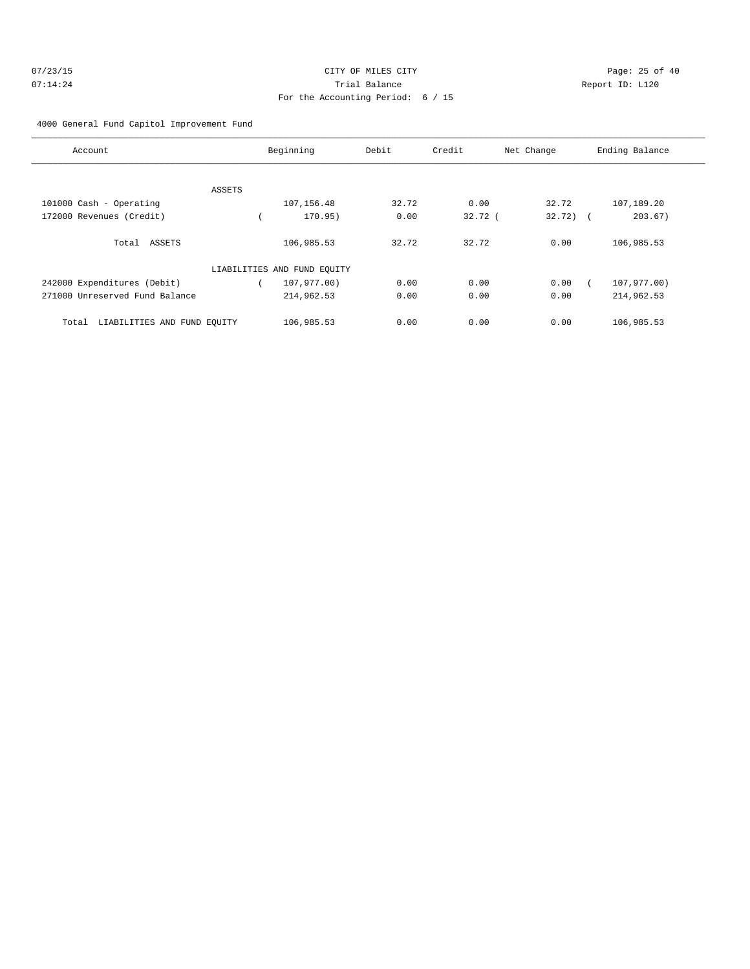| 07/23/15 | CITY OF MILES CITY                | Page: $25o$     |
|----------|-----------------------------------|-----------------|
| 07:14:24 | Trial Balance                     | Report ID: L120 |
|          | For the Accounting Period: 6 / 15 |                 |

Page:  $25$  of  $40$ 

# 4000 General Fund Capitol Improvement Fund

| Account                              |        | Beginning                   | Debit | Credit    | Net Change  | Ending Balance |
|--------------------------------------|--------|-----------------------------|-------|-----------|-------------|----------------|
|                                      |        |                             |       |           |             |                |
|                                      | ASSETS |                             |       |           |             |                |
| 101000 Cash - Operating              |        | 107,156.48                  | 32.72 | 0.00      | 32.72       | 107,189.20     |
| 172000 Revenues (Credit)             |        | 170.95)                     | 0.00  | $32.72$ ( | $32.72$ ) ( | 203.67)        |
| Total ASSETS                         |        | 106,985.53                  | 32.72 | 32.72     | 0.00        | 106,985.53     |
|                                      |        | LIABILITIES AND FUND EQUITY |       |           |             |                |
| 242000 Expenditures (Debit)          |        | 107,977.00)                 | 0.00  | 0.00      | 0.00        | 107,977.00)    |
| 271000 Unreserved Fund Balance       |        | 214,962.53                  | 0.00  | 0.00      | 0.00        | 214,962.53     |
| LIABILITIES AND FUND EQUITY<br>Total |        | 106,985.53                  | 0.00  | 0.00      | 0.00        | 106,985.53     |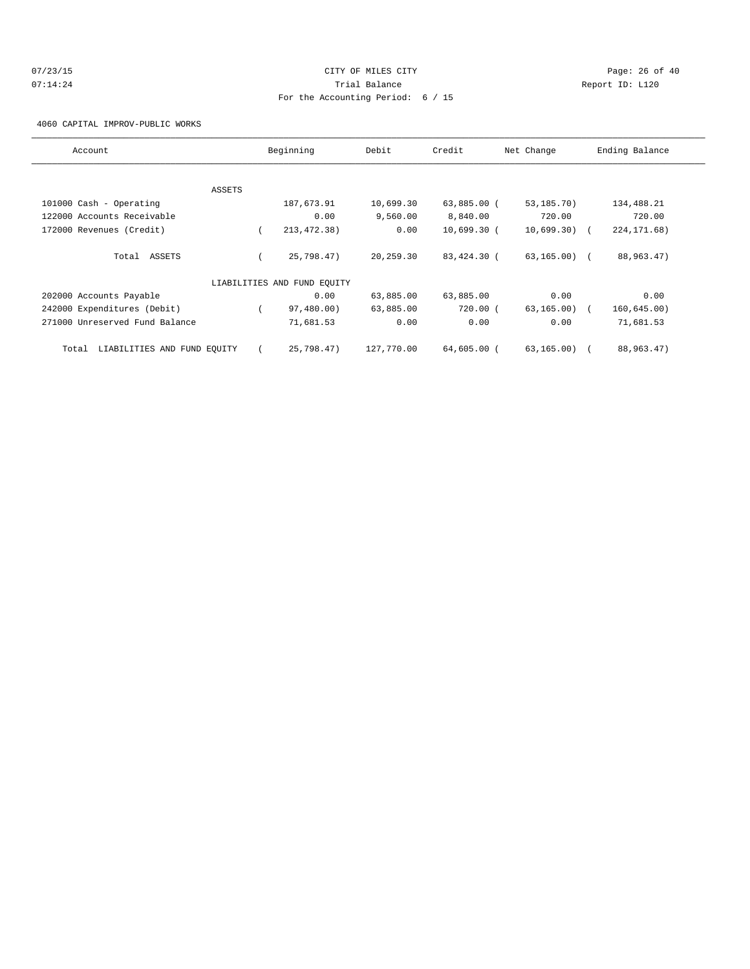# $07/23/15$  Page: 26 of 40 07:14:24 **Trial Balance Constanting Constanting Constanting Constanting Constanting Constanting Constanting Constanting Constanting Constanting Constanting Constanting Constanting Constanting Constanting Constanting Cons** For the Accounting Period: 6 / 15

4060 CAPITAL IMPROV-PUBLIC WORKS

| Account                              |        | Beginning                   | Debit      | Credit        | Net Change      | Ending Balance |
|--------------------------------------|--------|-----------------------------|------------|---------------|-----------------|----------------|
|                                      |        |                             |            |               |                 |                |
|                                      | ASSETS |                             |            |               |                 |                |
| 101000 Cash - Operating              |        | 187,673.91                  | 10,699.30  | 63,885.00 (   | 53,185.70)      | 134,488.21     |
| 122000 Accounts Receivable           |        | 0.00                        | 9,560.00   | 8,840.00      | 720.00          | 720.00         |
| 172000 Revenues (Credit)             |        | 213, 472. 38)               | 0.00       | $10,699.30$ ( | $10,699.30$ (   | 224, 171.68)   |
| Total ASSETS                         |        | 25,798.47)                  | 20,259.30  | 83,424.30 (   | $63, 165, 00$ ( | 88,963.47)     |
|                                      |        | LIABILITIES AND FUND EQUITY |            |               |                 |                |
| 202000 Accounts Payable              |        | 0.00                        | 63,885.00  | 63,885.00     | 0.00            | 0.00           |
| 242000 Expenditures (Debit)          |        | 97,480.00)                  | 63,885.00  | 720.00(       | 63, 165.00      | 160, 645.00)   |
| 271000 Unreserved Fund Balance       |        | 71,681.53                   | 0.00       | 0.00          | 0.00            | 71,681.53      |
| LIABILITIES AND FUND EQUITY<br>Total |        | 25,798.47)                  | 127,770.00 | 64,605.00 (   | 63,165.00) (    | 88,963.47)     |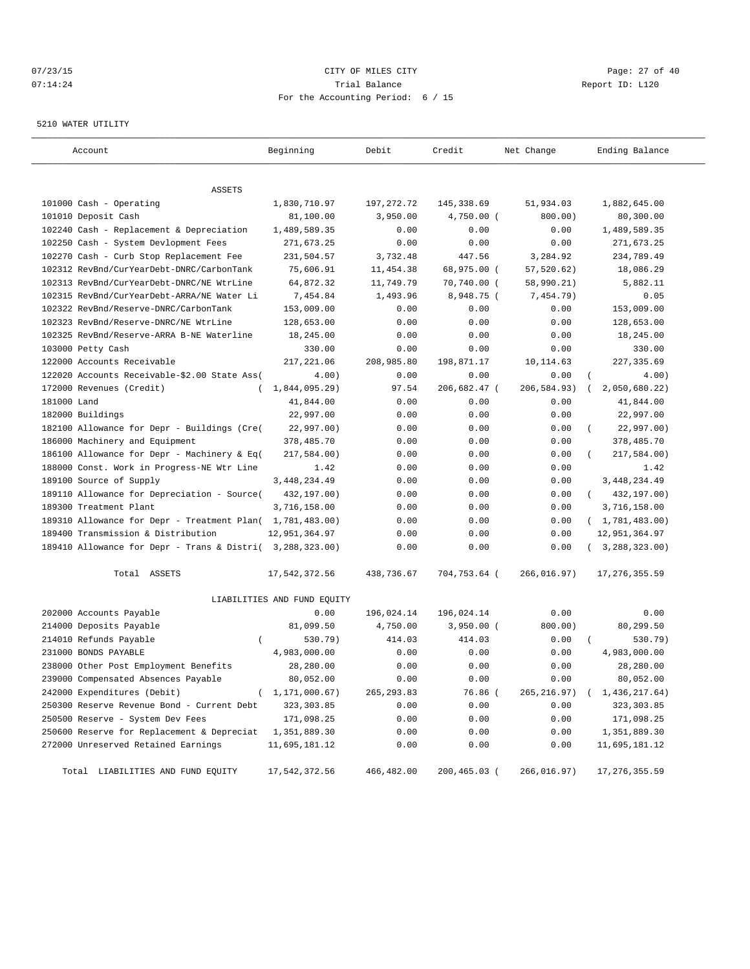## $07/23/15$  Page: 27 of 40 07:14:24 **Trial Balance Constanting Constanting Constanting Constanting Constanting Constanting Constanting Constanting Constanting Constanting Constanting Constanting Constanting Constanting Constanting Constanting Cons** For the Accounting Period: 6 / 15

#### 5210 WATER UTILITY

| Account                                                   | Beginning                   | Debit       | Credit       | Net Change  | Ending Balance              |
|-----------------------------------------------------------|-----------------------------|-------------|--------------|-------------|-----------------------------|
|                                                           |                             |             |              |             |                             |
| ASSETS                                                    |                             |             |              |             |                             |
| 101000 Cash - Operating                                   | 1,830,710.97                | 197, 272.72 | 145,338.69   | 51,934.03   | 1,882,645.00                |
| 101010 Deposit Cash                                       | 81,100.00                   | 3,950.00    | $4,750.00$ ( | 800.00)     | 80,300.00                   |
| 102240 Cash - Replacement & Depreciation                  | 1,489,589.35                | 0.00        | 0.00         | 0.00        | 1,489,589.35                |
| 102250 Cash - System Devlopment Fees                      | 271,673.25                  | 0.00        | 0.00         | 0.00        | 271,673.25                  |
| 102270 Cash - Curb Stop Replacement Fee                   | 231,504.57                  | 3,732.48    | 447.56       | 3,284.92    | 234,789.49                  |
| 102312 RevBnd/CurYearDebt-DNRC/CarbonTank                 | 75,606.91                   | 11,454.38   | 68,975.00 (  | 57, 520.62) | 18,086.29                   |
| 102313 RevBnd/CurYearDebt-DNRC/NE WtrLine                 | 64,872.32                   | 11,749.79   | 70,740.00 (  | 58,990.21)  | 5,882.11                    |
| 102315 RevBnd/CurYearDebt-ARRA/NE Water Li                | 7,454.84                    | 1,493.96    | 8,948.75 (   | 7,454.79)   | 0.05                        |
| 102322 RevBnd/Reserve-DNRC/CarbonTank                     | 153,009.00                  | 0.00        | 0.00         | 0.00        | 153,009.00                  |
| 102323 RevBnd/Reserve-DNRC/NE WtrLine                     | 128,653.00                  | 0.00        | 0.00         | 0.00        | 128,653.00                  |
| 102325 RevBnd/Reserve-ARRA B-NE Waterline                 | 18,245.00                   | 0.00        | 0.00         | 0.00        | 18,245.00                   |
| 103000 Petty Cash                                         | 330.00                      | 0.00        | 0.00         | 0.00        | 330.00                      |
| 122000 Accounts Receivable                                | 217,221.06                  | 208,985.80  | 198,871.17   | 10,114.63   | 227, 335.69                 |
| 122020 Accounts Receivable-\$2.00 State Ass(              | 4.00)                       | 0.00        | 0.00         | 0.00        | 4.00                        |
| 172000 Revenues (Credit)                                  | $1,844,095.29$ )            | 97.54       | 206,682.47 ( | 206,584.93) | 2,050,680.22)               |
| 181000 Land                                               | 41,844.00                   | 0.00        | 0.00         | 0.00        | 41,844.00                   |
| 182000 Buildings                                          | 22,997.00                   | 0.00        | 0.00         | 0.00        | 22,997.00                   |
| 182100 Allowance for Depr - Buildings (Cre(               | 22,997.00)                  | 0.00        | 0.00         | 0.00        | 22,997.00)                  |
| 186000 Machinery and Equipment                            | 378,485.70                  | 0.00        | 0.00         | 0.00        | 378,485.70                  |
| 186100 Allowance for Depr - Machinery & Eq(               | 217,584.00)                 | 0.00        | 0.00         | 0.00        | 217,584.00)                 |
| 188000 Const. Work in Progress-NE Wtr Line                | 1.42                        | 0.00        | 0.00         | 0.00        | 1.42                        |
| 189100 Source of Supply                                   | 3, 448, 234.49              | 0.00        | 0.00         | 0.00        | 3, 448, 234.49              |
| 189110 Allowance for Depreciation - Source(               | 432,197.00)                 | 0.00        | 0.00         | 0.00        | 432,197.00)<br>$\left($     |
| 189300 Treatment Plant                                    | 3,716,158.00                | 0.00        | 0.00         | 0.00        | 3,716,158.00                |
| 189310 Allowance for Depr - Treatment Plan( 1,781,483.00) |                             | 0.00        | 0.00         | 0.00        | (1, 781, 483.00)            |
| 189400 Transmission & Distribution                        | 12,951,364.97               | 0.00        | 0.00         | 0.00        | 12,951,364.97               |
| 189410 Allowance for Depr - Trans & Distri( 3,288,323.00) |                             | 0.00        | 0.00         | 0.00        | (3, 288, 323.00)            |
| Total ASSETS                                              | 17,542,372.56               | 438,736.67  | 704,753.64 ( | 266,016.97) | 17, 276, 355.59             |
|                                                           | LIABILITIES AND FUND EQUITY |             |              |             |                             |
| 202000 Accounts Payable                                   | 0.00                        | 196,024.14  | 196,024.14   | 0.00        | 0.00                        |
| 214000 Deposits Payable                                   | 81,099.50                   | 4,750.00    | $3,950.00$ ( | 800.00)     | 80,299.50                   |
| 214010 Refunds Payable<br>$\left($                        | 530.79)                     | 414.03      | 414.03       | 0.00        | 530.79)                     |
| 231000 BONDS PAYABLE                                      | 4,983,000.00                | 0.00        | 0.00         | 0.00        | 4,983,000.00                |
| 238000 Other Post Employment Benefits                     | 28,280.00                   | 0.00        | 0.00         | 0.00        | 28,280.00                   |
| 239000 Compensated Absences Payable                       | 80,052.00                   | 0.00        | 0.00         | 0.00        | 80,052.00                   |
| 242000 Expenditures (Debit)<br>$\left($                   | 1,171,000.67)               | 265, 293.83 | 76.86 (      | 265,216.97) | 1,436,217.64)<br>$\sqrt{2}$ |
| 250300 Reserve Revenue Bond - Current Debt                | 323, 303.85                 | 0.00        | 0.00         | 0.00        | 323,303.85                  |
| 250500 Reserve - System Dev Fees                          | 171,098.25                  | 0.00        | 0.00         | 0.00        | 171,098.25                  |
| 250600 Reserve for Replacement & Depreciat                | 1,351,889.30                | 0.00        | 0.00         | 0.00        | 1,351,889.30                |
| 272000 Unreserved Retained Earnings                       | 11,695,181.12               | 0.00        | 0.00         | 0.00        | 11,695,181.12               |
|                                                           |                             |             |              |             |                             |
| Total LIABILITIES AND FUND EQUITY                         | 17,542,372.56               | 466,482.00  | 200,465.03 ( | 266,016.97) | 17, 276, 355.59             |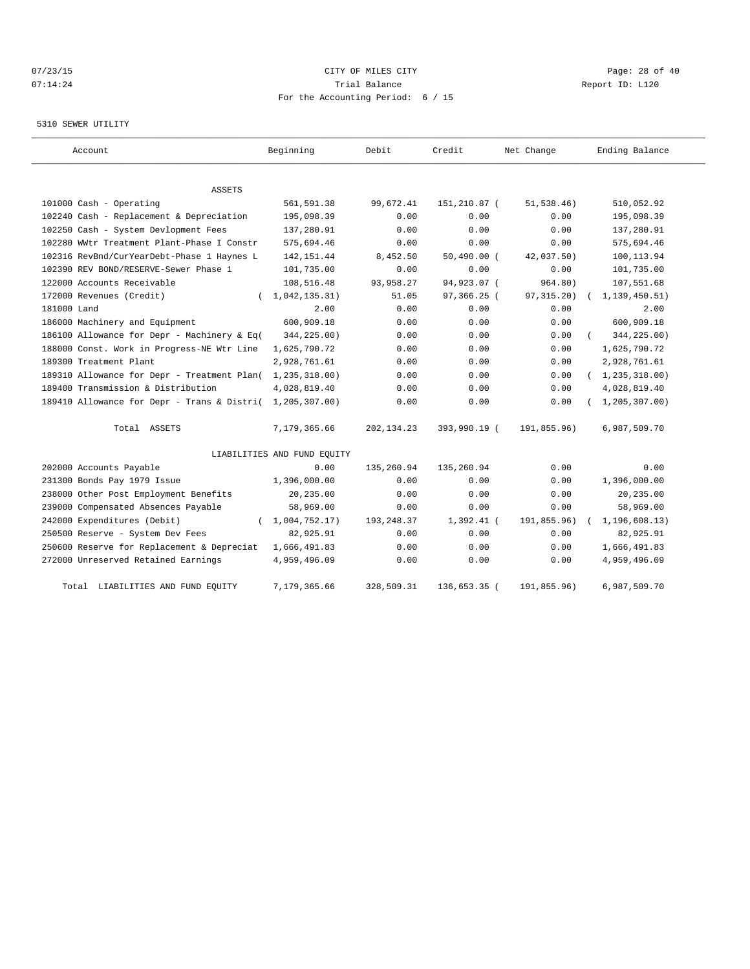# 07/23/15 Page: 28 of 40 07:14:24 **Trial Balance Constanting Constanting Constanting Constanting Constanting Constanting Constanting Constanting Constanting Constanting Constanting Constanting Constanting Constanting Constanting Constanting Cons** For the Accounting Period: 6 / 15

## 5310 SEWER UTILITY

| Account                                     | Beginning                   | Debit        | Credit        | Net Change  | Ending Balance   |
|---------------------------------------------|-----------------------------|--------------|---------------|-------------|------------------|
|                                             |                             |              |               |             |                  |
| ASSETS                                      |                             |              |               |             |                  |
| 101000 Cash - Operating                     | 561,591.38                  | 99,672.41    | 151,210.87 (  | 51, 538.46) | 510,052.92       |
| 102240 Cash - Replacement & Depreciation    | 195,098.39                  | 0.00         | 0.00          | 0.00        | 195,098.39       |
| 102250 Cash - System Devlopment Fees        | 137,280.91                  | 0.00         | 0.00          | 0.00        | 137,280.91       |
| 102280 WWtr Treatment Plant-Phase I Constr  | 575,694.46                  | 0.00         | 0.00          | 0.00        | 575,694.46       |
| 102316 RevBnd/CurYearDebt-Phase 1 Haynes L  | 142, 151.44                 | 8,452.50     | $50,490.00$ ( | 42,037.50)  | 100,113.94       |
| 102390 REV BOND/RESERVE-Sewer Phase 1       | 101,735.00                  | 0.00         | 0.00          | 0.00        | 101,735.00       |
| 122000 Accounts Receivable                  | 108,516.48                  | 93,958.27    | 94,923.07 (   | 964.80)     | 107,551.68       |
| 172000 Revenues (Credit)<br>$\left($        | 1,042,135.31)               | 51.05        | 97,366.25 (   | 97, 315.20) | 1, 139, 450.51)  |
| 181000 Land                                 | 2.00                        | 0.00         | 0.00          | 0.00        | 2.00             |
| 186000 Machinery and Equipment              | 600,909.18                  | 0.00         | 0.00          | 0.00        | 600,909.18       |
| 186100 Allowance for Depr - Machinery & Eq( | 344,225.00)                 | 0.00         | 0.00          | 0.00        | 344,225.00)      |
| 188000 Const. Work in Progress-NE Wtr Line  | 1,625,790.72                | 0.00         | 0.00          | 0.00        | 1,625,790.72     |
| 189300 Treatment Plant                      | 2,928,761.61                | 0.00         | 0.00          | 0.00        | 2,928,761.61     |
| 189310 Allowance for Depr - Treatment Plan( | 1,235,318.00)               | 0.00         | 0.00          | 0.00        | (1, 235, 318.00) |
| 189400 Transmission & Distribution          | 4,028,819.40                | 0.00         | 0.00          | 0.00        | 4,028,819.40     |
| 189410 Allowance for Depr - Trans & Distri( | 1,205,307.00)               | 0.00         | 0.00          | 0.00        | 1, 205, 307.00   |
| Total ASSETS                                | 7,179,365.66                | 202, 134. 23 | 393,990.19 (  | 191,855.96) | 6,987,509.70     |
|                                             | LIABILITIES AND FUND EQUITY |              |               |             |                  |
| 202000 Accounts Payable                     | 0.00                        | 135,260.94   | 135,260.94    | 0.00        | 0.00             |
| 231300 Bonds Pay 1979 Issue                 | 1,396,000.00                | 0.00         | 0.00          | 0.00        | 1,396,000.00     |
| 238000 Other Post Employment Benefits       | 20,235.00                   | 0.00         | 0.00          | 0.00        | 20,235.00        |
| 239000 Compensated Absences Payable         | 58,969.00                   | 0.00         | 0.00          | 0.00        | 58,969.00        |
| 242000 Expenditures (Debit)                 | 1,004,752.17)               | 193,248.37   | $1,392.41$ (  | 191,855.96) | 1, 196, 608.13)  |
| 250500 Reserve - System Dev Fees            | 82,925.91                   | 0.00         | 0.00          | 0.00        | 82,925.91        |
| 250600 Reserve for Replacement & Depreciat  | 1,666,491.83                | 0.00         | 0.00          | 0.00        | 1,666,491.83     |
| 272000 Unreserved Retained Earnings         | 4,959,496.09                | 0.00         | 0.00          | 0.00        | 4,959,496.09     |
| LIABILITIES AND FUND EQUITY<br>Total        | 7,179,365.66                | 328,509.31   | 136,653.35 (  | 191,855.96) | 6,987,509.70     |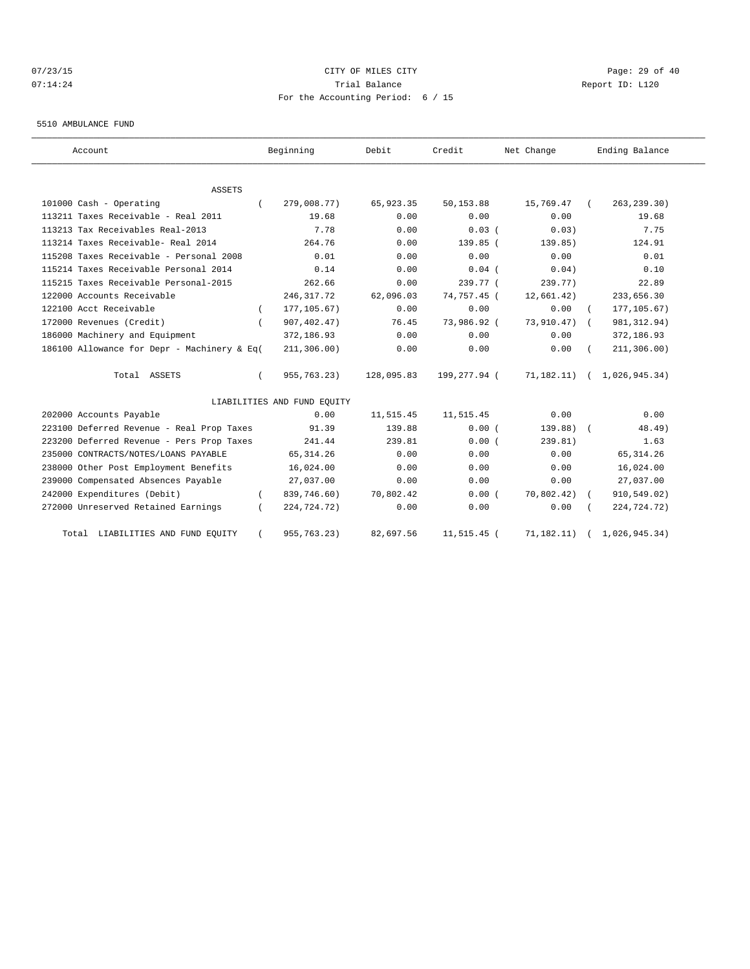## 07/23/15 Page: 29 of 40 07:14:24 **Trial Balance Constanting Constanting Constanting Constanting Constanting Constanting Constanting Constanting Constanting Constanting Constanting Constanting Constanting Constanting Constanting Constanting Cons** For the Accounting Period: 6 / 15

#### 5510 AMBULANCE FUND

| Account                                     | Beginning                   | Debit      | Credit       | Net Change | Ending Balance             |
|---------------------------------------------|-----------------------------|------------|--------------|------------|----------------------------|
| <b>ASSETS</b>                               |                             |            |              |            |                            |
| 101000 Cash - Operating                     | 279,008.77)                 | 65,923.35  | 50,153.88    | 15,769.47  | 263, 239.30)               |
| 113211 Taxes Receivable - Real 2011         | 19.68                       | 0.00       | 0.00         | 0.00       | 19.68                      |
| 113213 Tax Receivables Real-2013            | 7.78                        | 0.00       | $0.03$ (     | 0.03)      | 7.75                       |
| 113214 Taxes Receivable- Real 2014          | 264.76                      | 0.00       | 139.85 (     | 139.85)    | 124.91                     |
| 115208 Taxes Receivable - Personal 2008     | 0.01                        | 0.00       | 0.00         | 0.00       | 0.01                       |
| 115214 Taxes Receivable Personal 2014       | 0.14                        | 0.00       | $0.04$ (     | 0.04)      | 0.10                       |
| 115215 Taxes Receivable Personal-2015       | 262.66                      | 0.00       | 239.77 (     | 239.77)    | 22.89                      |
| 122000 Accounts Receivable                  | 246,317.72                  | 62,096.03  | 74,757.45 (  | 12,661.42) | 233,656.30                 |
| 122100 Acct Receivable                      | 177, 105.67)                | 0.00       | 0.00         | 0.00       | 177, 105.67)               |
| 172000 Revenues (Credit)                    | 907, 402.47)                | 76.45      | 73,986.92 (  | 73,910.47) | 981, 312.94)<br>$\sqrt{2}$ |
| 186000 Machinery and Equipment              | 372,186.93                  | 0.00       | 0.00         | 0.00       | 372,186.93                 |
| 186100 Allowance for Depr - Machinery & Eq( | 211, 306.00)                | 0.00       | 0.00         | 0.00       | 211, 306.00)               |
| Total ASSETS                                | 955, 763. 23)               | 128,095.83 | 199,277.94 ( | 71,182.11) | 1,026,945.34)              |
|                                             | LIABILITIES AND FUND EQUITY |            |              |            |                            |
| 202000 Accounts Payable                     | 0.00                        | 11,515.45  | 11,515.45    | 0.00       | 0.00                       |
| 223100 Deferred Revenue - Real Prop Taxes   | 91.39                       | 139.88     | 0.00(        | 139.88)    | 48.49)                     |
| 223200 Deferred Revenue - Pers Prop Taxes   | 241.44                      | 239.81     | 0.00(        | 239.81)    | 1.63                       |
| 235000 CONTRACTS/NOTES/LOANS PAYABLE        | 65, 314.26                  | 0.00       | 0.00         | 0.00       | 65, 314.26                 |
| 238000 Other Post Employment Benefits       | 16,024.00                   | 0.00       | 0.00         | 0.00       | 16,024.00                  |
| 239000 Compensated Absences Payable         | 27,037.00                   | 0.00       | 0.00         | 0.00       | 27,037.00                  |
| 242000 Expenditures (Debit)                 | 839,746.60)                 | 70,802.42  | 0.00(        | 70,802.42) | 910,549.02)                |
| 272000 Unreserved Retained Earnings         | 224,724.72)                 | 0.00       | 0.00         | 0.00       | 224,724.72)                |
| LIABILITIES AND FUND EQUITY<br>Total        | 955,763.23)                 | 82,697.56  | 11,515.45 (  | 71,182.11) | 1,026,945.34)              |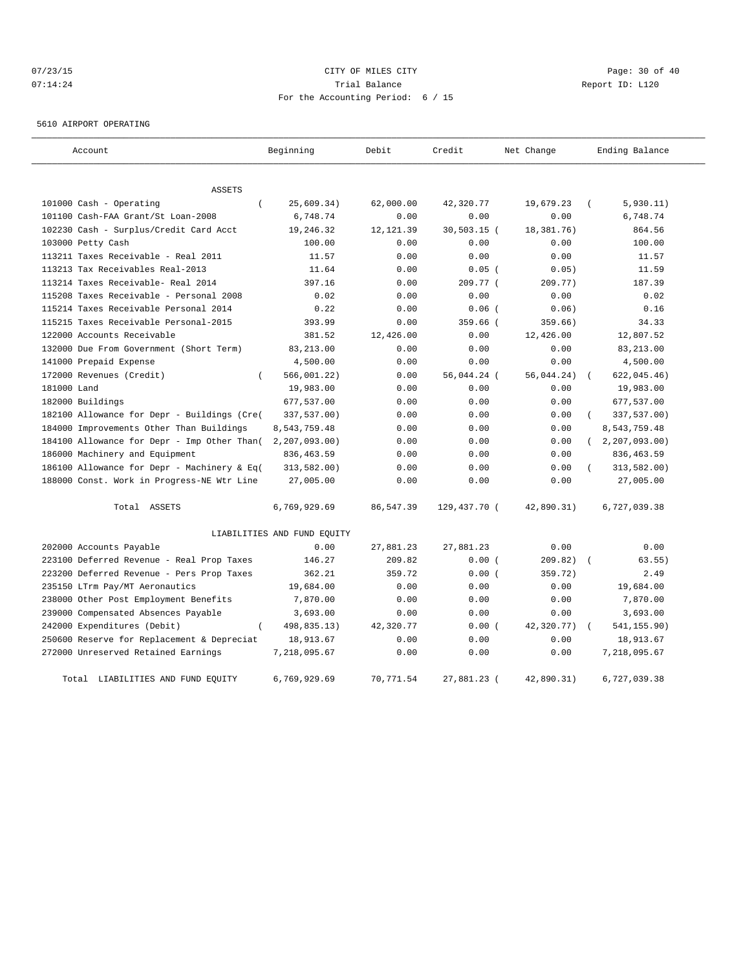# 07/23/15 Page: 30 of 40 07:14:24 **Trial Balance Constanting Constanting Constanting Constanting Constanting Constanting Constanting Constanting Constanting Constanting Constanting Constanting Constanting Constanting Constanting Constanting Cons** For the Accounting Period: 6 / 15

5610 AIRPORT OPERATING

| Account                                     | Beginning                   | Debit      | Credit        | Net Change   | Ending Balance |
|---------------------------------------------|-----------------------------|------------|---------------|--------------|----------------|
| <b>ASSETS</b>                               |                             |            |               |              |                |
| 101000 Cash - Operating                     | 25,609.34)                  | 62,000.00  | 42,320.77     | 19,679.23    | 5,930.11)      |
| 101100 Cash-FAA Grant/St Loan-2008          | 6,748.74                    | 0.00       | 0.00          | 0.00         | 6,748.74       |
| 102230 Cash - Surplus/Credit Card Acct      | 19,246.32                   | 12, 121.39 | $30.503.15$ ( | 18, 381, 76) | 864.56         |
| 103000 Petty Cash                           | 100.00                      | 0.00       | 0.00          | 0.00         | 100.00         |
| 113211 Taxes Receivable - Real 2011         | 11.57                       | 0.00       | 0.00          | 0.00         | 11.57          |
| 113213 Tax Receivables Real-2013            | 11.64                       | 0.00       | $0.05$ (      | 0.05)        | 11.59          |
| 113214 Taxes Receivable- Real 2014          | 397.16                      | 0.00       | 209.77 (      | 209.77)      | 187.39         |
| 115208 Taxes Receivable - Personal 2008     | 0.02                        | 0.00       | 0.00          | 0.00         | 0.02           |
| 115214 Taxes Receivable Personal 2014       | 0.22                        | 0.00       | $0.06$ (      | 0.06)        | 0.16           |
| 115215 Taxes Receivable Personal-2015       | 393.99                      | 0.00       | $359.66$ (    | 359.66)      | 34.33          |
| 122000 Accounts Receivable                  | 381.52                      | 12,426.00  | 0.00          | 12,426.00    | 12,807.52      |
| 132000 Due From Government (Short Term)     | 83, 213.00                  | 0.00       | 0.00          | 0.00         | 83, 213.00     |
| 141000 Prepaid Expense                      | 4,500.00                    | 0.00       | 0.00          | 0.00         | 4,500.00       |
| 172000 Revenues (Credit)<br>$\left($        | 566,001.22)                 | 0.00       | 56,044.24 (   | 56,044.24)   | 622,045.46)    |
| 181000 Land                                 | 19,983.00                   | 0.00       | 0.00          | 0.00         | 19,983.00      |
| 182000 Buildings                            | 677,537.00                  | 0.00       | 0.00          | 0.00         | 677,537.00     |
| 182100 Allowance for Depr - Buildings (Cre( | 337,537.00)                 | 0.00       | 0.00          | 0.00         | 337,537.00)    |
| 184000 Improvements Other Than Buildings    | 8,543,759.48                | 0.00       | 0.00          | 0.00         | 8,543,759.48   |
| 184100 Allowance for Depr - Imp Other Than( | 2, 207, 093.00)             | 0.00       | 0.00          | 0.00         | 2, 207, 093.00 |
| 186000 Machinery and Equipment              | 836, 463.59                 | 0.00       | 0.00          | 0.00         | 836, 463.59    |
| 186100 Allowance for Depr - Machinery & Eq( | 313,582.00)                 | 0.00       | 0.00          | 0.00         | 313,582.00)    |
| 188000 Const. Work in Progress-NE Wtr Line  | 27,005.00                   | 0.00       | 0.00          | 0.00         | 27,005.00      |
| Total ASSETS                                | 6,769,929.69                | 86,547.39  | 129,437.70 (  | 42,890.31)   | 6,727,039.38   |
|                                             | LIABILITIES AND FUND EQUITY |            |               |              |                |
| 202000 Accounts Payable                     | 0.00                        | 27,881.23  | 27,881.23     | 0.00         | 0.00           |
| 223100 Deferred Revenue - Real Prop Taxes   | 146.27                      | 209.82     | 0.00(         | 209.82)      | 63.55)         |
| 223200 Deferred Revenue - Pers Prop Taxes   | 362.21                      | 359.72     | 0.00(         | 359.72)      | 2.49           |
| 235150 LTrm Pay/MT Aeronautics              | 19,684.00                   | 0.00       | 0.00          | 0.00         | 19,684.00      |
| 238000 Other Post Employment Benefits       | 7,870.00                    | 0.00       | 0.00          | 0.00         | 7,870.00       |
| 239000 Compensated Absences Payable         | 3,693.00                    | 0.00       | 0.00          | 0.00         | 3,693.00       |
| 242000 Expenditures (Debit)                 | 498,835.13)                 | 42,320.77  | 0.00(         | 42,320.77)   | 541,155.90)    |
| 250600 Reserve for Replacement & Depreciat  | 18,913.67                   | 0.00       | 0.00          | 0.00         | 18,913.67      |
| 272000 Unreserved Retained Earnings         | 7,218,095.67                | 0.00       | 0.00          | 0.00         | 7,218,095.67   |
| Total LIABILITIES AND FUND EQUITY           | 6,769,929.69                | 70,771.54  | 27,881.23 (   | 42,890.31)   | 6,727,039.38   |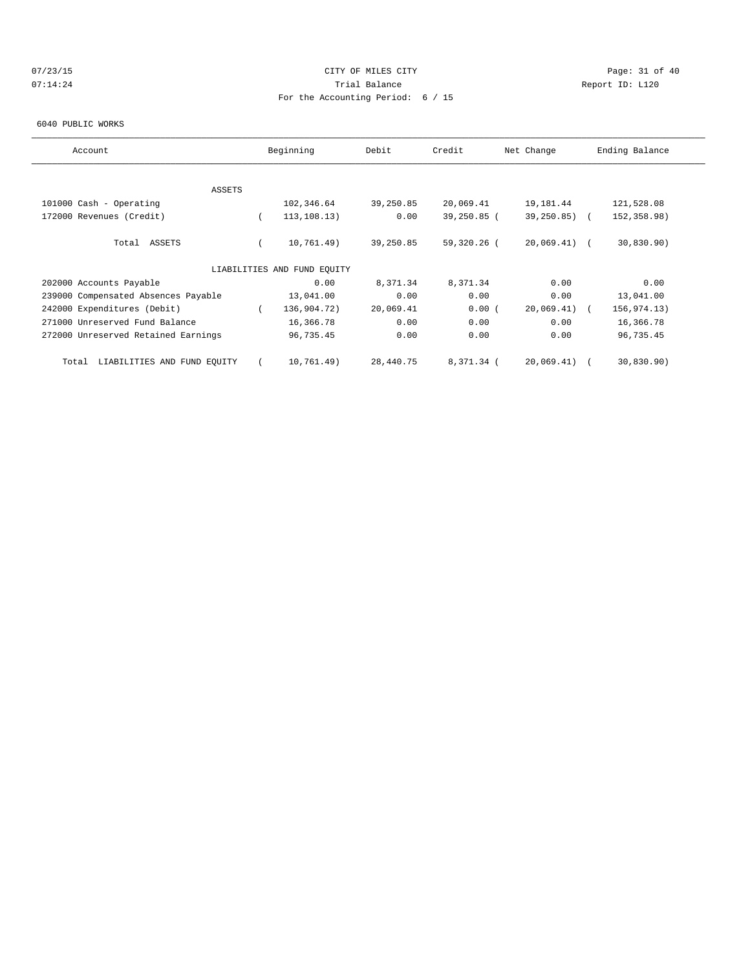# 07/23/15 Page: 31 of 40 07:14:24 **Trial Balance Constanting Constanting Constanting Constanting Constanting Constanting Constanting Constanting Constanting Constanting Constanting Constanting Constanting Constanting Constanting Constanting Cons** For the Accounting Period: 6 / 15

#### 6040 PUBLIC WORKS

| Account                              | Beginning                   | Debit     | Credit      | Net Change    | Ending Balance |
|--------------------------------------|-----------------------------|-----------|-------------|---------------|----------------|
|                                      |                             |           |             |               |                |
| ASSETS                               |                             |           |             |               |                |
| 101000 Cash - Operating              | 102,346.64                  | 39,250.85 | 20,069.41   | 19,181.44     | 121,528.08     |
| 172000 Revenues (Credit)             | 113, 108.13)                | 0.00      | 39,250.85 ( | 39,250.85)    | 152,358.98)    |
| Total ASSETS                         | 10,761.49)                  | 39,250.85 | 59,320.26 ( | $20,069.41$ ( | 30,830.90)     |
|                                      | LIABILITIES AND FUND EQUITY |           |             |               |                |
| 202000 Accounts Payable              | 0.00                        | 8,371.34  | 8,371.34    | 0.00          | 0.00           |
| 239000 Compensated Absences Payable  | 13,041.00                   | 0.00      | 0.00        | 0.00          | 13,041.00      |
| 242000 Expenditures (Debit)          | 136,904.72)                 | 20,069.41 | 0.00(       | 20,069.41)    | 156,974.13)    |
| 271000 Unreserved Fund Balance       | 16,366.78                   | 0.00      | 0.00        | 0.00          | 16,366.78      |
| 272000 Unreserved Retained Earnings  | 96,735.45                   | 0.00      | 0.00        | 0.00          | 96,735.45      |
| LIABILITIES AND FUND EQUITY<br>Total | 10,761.49)                  | 28,440.75 | 8,371.34 (  | 20,069.41)    | 30,830.90)     |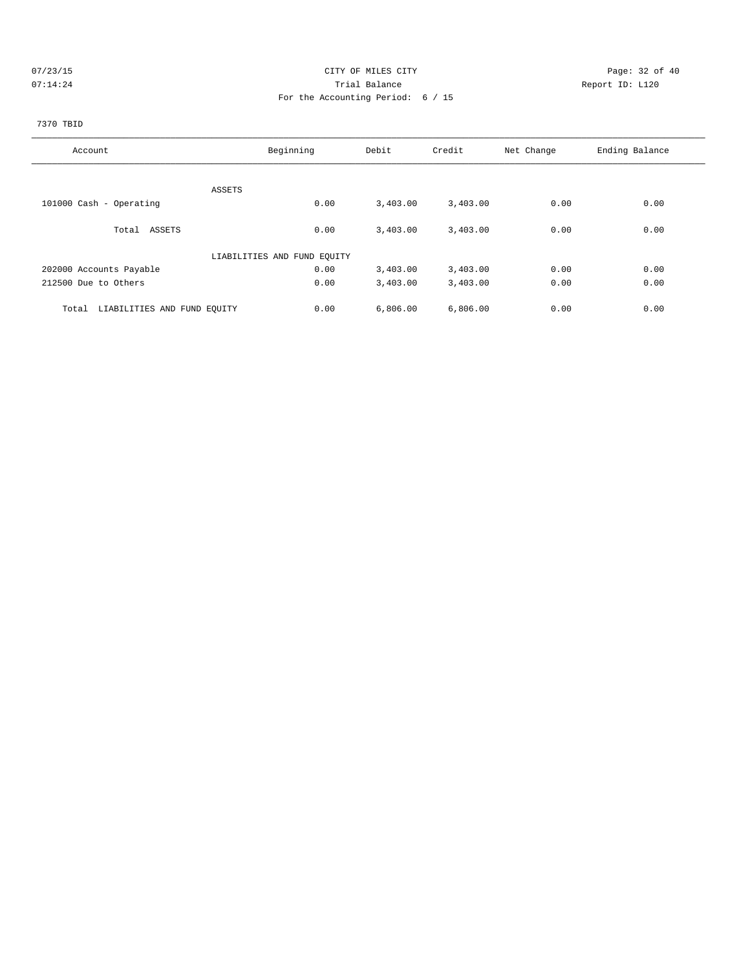# 07/23/15 Page: 32 of 40 07:14:24 **Trial Balance Constanting Constanting Constanting Constanting Constanting Constanting Constanting Constanting Constanting Constanting Constanting Constanting Constanting Constanting Constanting Constanting Cons** For the Accounting Period: 6 / 15

# 7370 TBID

| Account                              | Beginning                   | Debit    | Credit   | Net Change | Ending Balance |
|--------------------------------------|-----------------------------|----------|----------|------------|----------------|
|                                      |                             |          |          |            |                |
| ASSETS                               |                             |          |          |            |                |
| 101000 Cash - Operating              | 0.00                        | 3,403.00 | 3,403.00 | 0.00       | 0.00           |
|                                      |                             |          |          |            | 0.00           |
| Total ASSETS                         | 0.00                        | 3,403.00 | 3,403.00 | 0.00       |                |
|                                      | LIABILITIES AND FUND EQUITY |          |          |            |                |
| 202000 Accounts Payable              | 0.00                        | 3,403.00 | 3,403.00 | 0.00       | 0.00           |
| 212500 Due to Others                 | 0.00                        | 3,403.00 | 3,403.00 | 0.00       | 0.00           |
| LIABILITIES AND FUND EQUITY<br>Total | 0.00                        | 6,806.00 | 6,806.00 | 0.00       | 0.00           |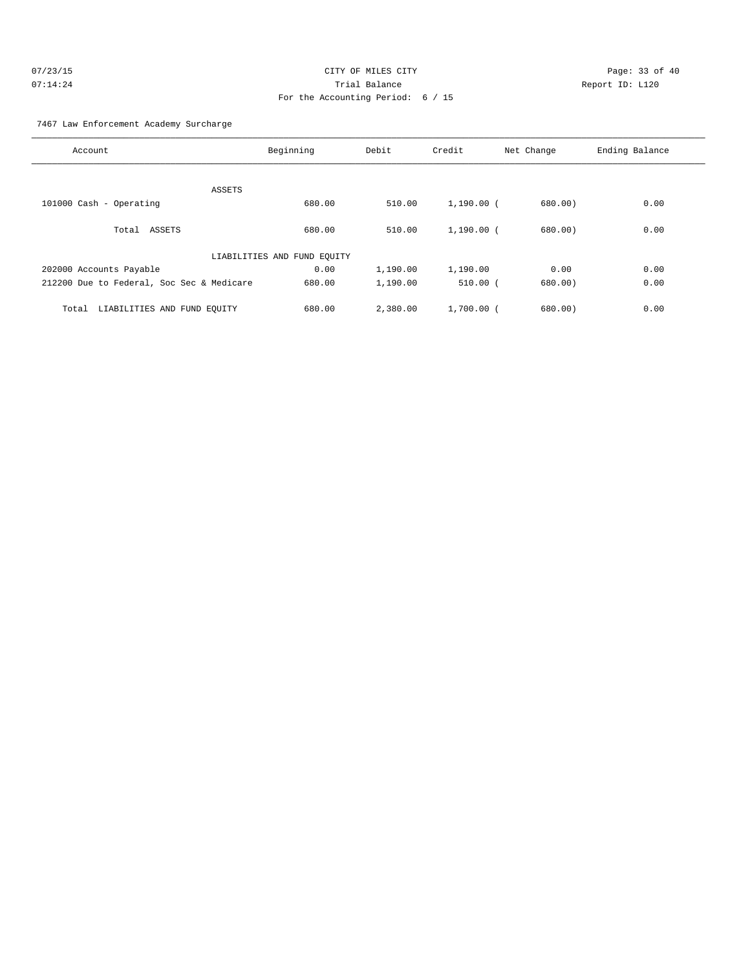## 7467 Law Enforcement Academy Surcharge

| Account                                   | Beginning                   | Debit    | Credit       | Net Change | Ending Balance |
|-------------------------------------------|-----------------------------|----------|--------------|------------|----------------|
|                                           |                             |          |              |            |                |
| ASSETS                                    |                             |          |              |            |                |
| 101000 Cash - Operating                   | 680.00                      | 510.00   | $1,190.00$ ( | 680.00)    | 0.00           |
|                                           |                             |          |              |            |                |
| Total ASSETS                              | 680.00                      | 510.00   | $1,190.00$ ( | 680.00     | 0.00           |
|                                           | LIABILITIES AND FUND EQUITY |          |              |            |                |
| 202000 Accounts Payable                   | 0.00                        | 1,190.00 | 1,190.00     | 0.00       | 0.00           |
| 212200 Due to Federal, Soc Sec & Medicare | 680.00                      | 1,190.00 | 510.00(      | 680.00     | 0.00           |
| LIABILITIES AND FUND EQUITY<br>Total      | 680.00                      | 2,380.00 | $1,700.00$ ( | 680.00     | 0.00           |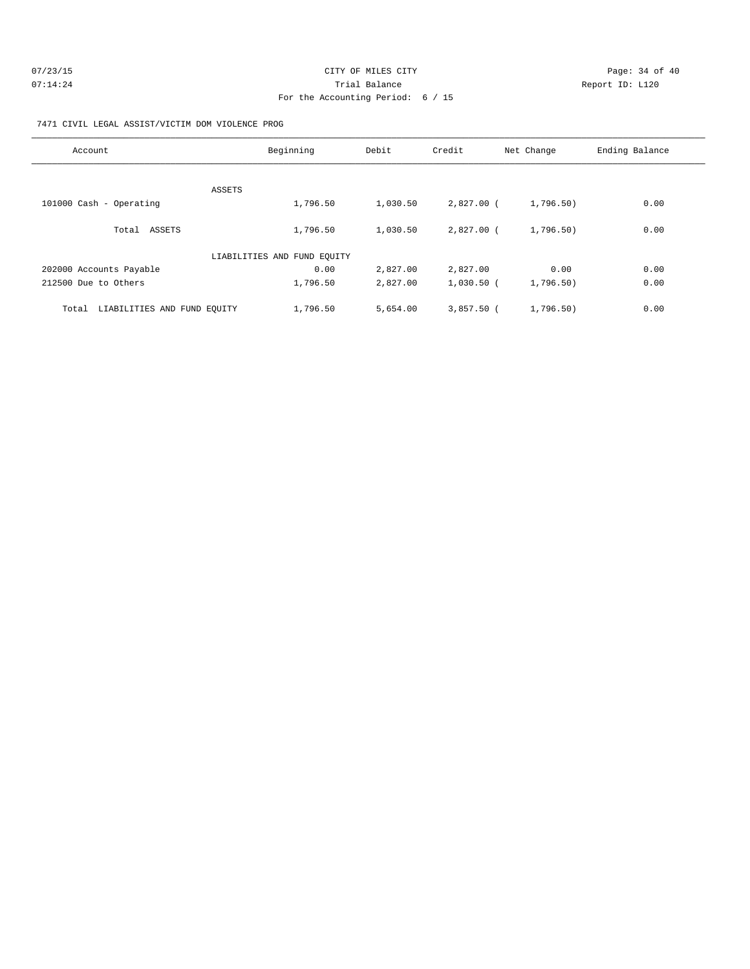| 07/23/15 | CITY OF MILES CITY                | Page: 34 of 40  |
|----------|-----------------------------------|-----------------|
| 07:14:24 | Trial Balance                     | Report ID: L120 |
|          | For the Accounting Period: 6 / 15 |                 |

### 7471 CIVIL LEGAL ASSIST/VICTIM DOM VIOLENCE PROG

| Account                              | Beginning                   | Debit    | Credit       | Net Change | Ending Balance |
|--------------------------------------|-----------------------------|----------|--------------|------------|----------------|
|                                      |                             |          |              |            |                |
| ASSETS                               |                             |          |              |            |                |
| 101000 Cash - Operating              | 1,796.50                    | 1,030.50 | 2,827.00 (   | 1,796.50)  | 0.00           |
|                                      |                             |          |              |            |                |
| Total ASSETS                         | 1,796.50                    | 1,030.50 | $2.827.00$ ( | 1,796.50)  | 0.00           |
|                                      | LIABILITIES AND FUND EQUITY |          |              |            |                |
| 202000 Accounts Payable              | 0.00                        | 2,827.00 | 2,827.00     | 0.00       | 0.00           |
| 212500 Due to Others                 | 1,796.50                    | 2,827.00 | $1,030.50$ ( | 1,796.50)  | 0.00           |
| LIABILITIES AND FUND EQUITY<br>Total | 1,796.50                    | 5,654.00 | $3,857.50$ ( | 1,796.50)  | 0.00           |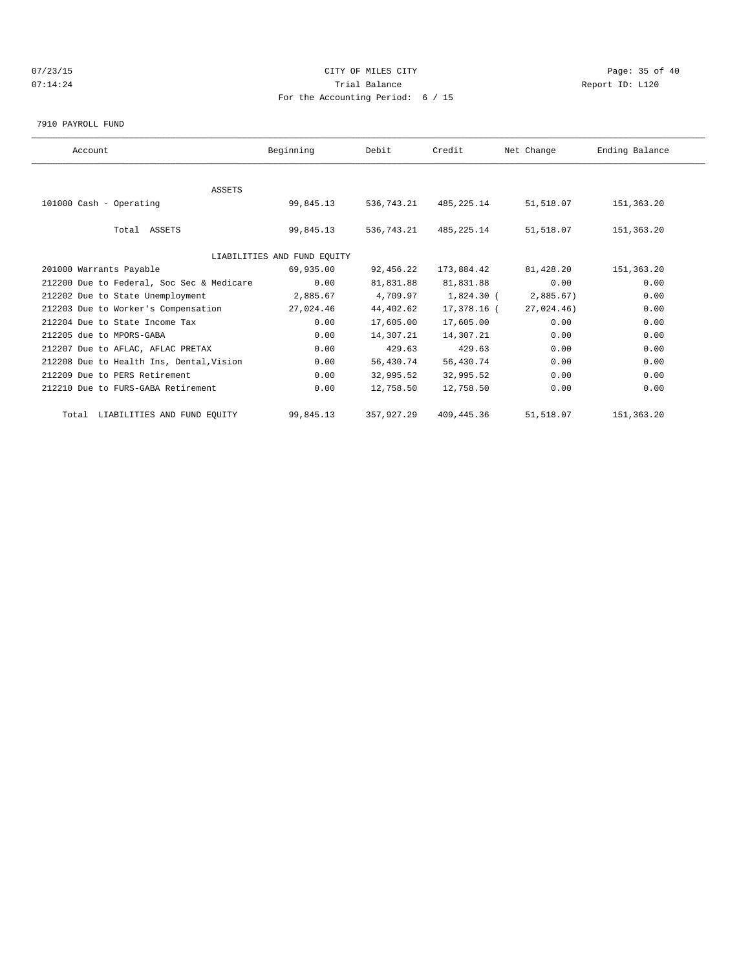# 07/23/15 Page: 35 of 40 07:14:24 **Trial Balance Constanting Constanting Constanting Constanting Constanting Constanting Constanting Constanting Constanting Constanting Constanting Constanting Constanting Constanting Constanting Constanting Cons** For the Accounting Period: 6 / 15

7910 PAYROLL FUND

| Account                                   | Beginning                   | Debit      | Credit       | Net Change | Ending Balance |  |
|-------------------------------------------|-----------------------------|------------|--------------|------------|----------------|--|
|                                           |                             |            |              |            |                |  |
| <b>ASSETS</b>                             |                             |            |              |            |                |  |
| 101000 Cash - Operating                   | 99,845.13                   | 536,743.21 | 485, 225. 14 | 51,518.07  | 151,363.20     |  |
| Total ASSETS                              | 99,845.13                   | 536,743.21 | 485,225.14   | 51,518.07  | 151,363.20     |  |
|                                           |                             |            |              |            |                |  |
|                                           | LIABILITIES AND FUND EQUITY |            |              |            |                |  |
| 201000 Warrants Payable                   | 69,935.00                   | 92,456.22  | 173,884.42   | 81,428.20  | 151,363.20     |  |
| 212200 Due to Federal, Soc Sec & Medicare | 0.00                        | 81,831.88  | 81,831.88    | 0.00       | 0.00           |  |
| 212202 Due to State Unemployment          | 2,885.67                    | 4,709.97   | 1,824.30 (   | 2,885.67)  | 0.00           |  |
| 212203 Due to Worker's Compensation       | 27,024.46                   | 44,402.62  | 17,378.16 (  | 27.024.46  | 0.00           |  |
| 212204 Due to State Income Tax            | 0.00                        | 17,605.00  | 17,605.00    | 0.00       | 0.00           |  |
| 212205 due to MPORS-GABA                  | 0.00                        | 14,307.21  | 14,307.21    | 0.00       | 0.00           |  |
| 212207 Due to AFLAC, AFLAC PRETAX         | 0.00                        | 429.63     | 429.63       | 0.00       | 0.00           |  |
| 212208 Due to Health Ins, Dental, Vision  | 0.00                        | 56,430.74  | 56,430.74    | 0.00       | 0.00           |  |
| 212209 Due to PERS Retirement             | 0.00                        | 32,995.52  | 32,995.52    | 0.00       | 0.00           |  |
| 212210 Due to FURS-GABA Retirement        | 0.00                        | 12,758.50  | 12,758.50    | 0.00       | 0.00           |  |
| Total LIABILITIES AND FUND EQUITY         | 99,845.13                   | 357,927.29 | 409, 445.36  | 51,518.07  | 151, 363, 20   |  |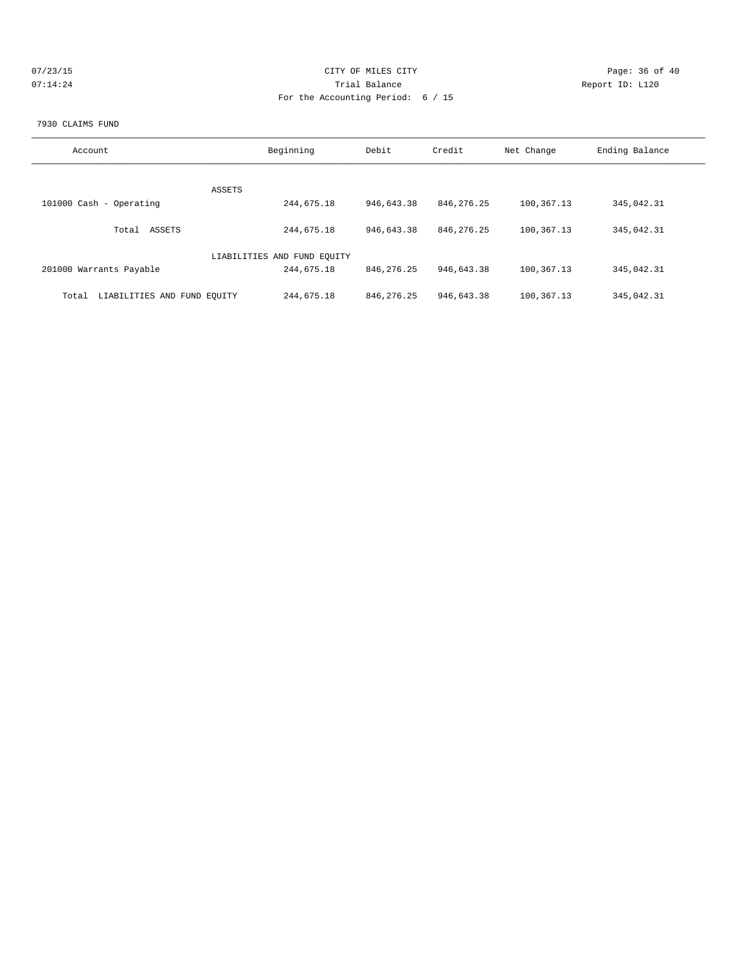| 07/23/15 | CITY OF MILES CITY                | Page: 36 of 40  |
|----------|-----------------------------------|-----------------|
| 07:14:24 | Trial Balance                     | Report ID: L120 |
|          | For the Accounting Period: 6 / 15 |                 |
|          |                                   |                 |

#### 7930 CLAIMS FUND

| Account                              | Beginning                   | Debit        | Credit       | Net Change | Ending Balance |
|--------------------------------------|-----------------------------|--------------|--------------|------------|----------------|
|                                      |                             |              |              |            |                |
|                                      |                             |              |              |            |                |
|                                      | ASSETS                      |              |              |            |                |
| 101000 Cash - Operating              | 244,675.18                  | 946,643.38   | 846, 276. 25 | 100,367.13 | 345,042.31     |
|                                      |                             |              |              |            |                |
| ASSETS<br>Total                      | 244,675.18                  | 946,643.38   | 846, 276, 25 | 100,367.13 | 345,042.31     |
|                                      |                             |              |              |            |                |
|                                      | LIABILITIES AND FUND EQUITY |              |              |            |                |
| 201000 Warrants Payable              | 244,675.18                  | 846, 276. 25 | 946,643.38   | 100,367.13 | 345,042.31     |
|                                      |                             |              |              |            |                |
| LIABILITIES AND FUND EOUITY<br>Total | 244,675.18                  | 846, 276. 25 | 946,643.38   | 100,367.13 | 345,042.31     |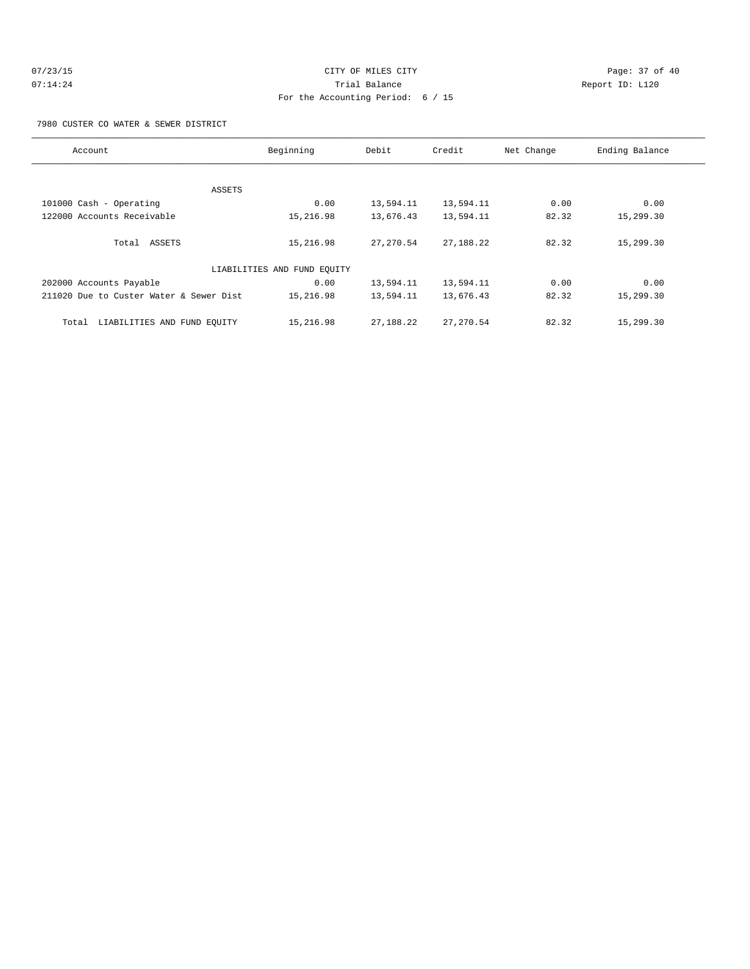# 07/23/15 Page: 37 of 40 07:14:24 **Trial Balance Constanting Constanting Constanting Constanting Constanting Constanting Constanting Constanting Constanting Constanting Constanting Constanting Constanting Constanting Constanting Constanting Cons** For the Accounting Period: 6 / 15

7980 CUSTER CO WATER & SEWER DISTRICT

| Account                                 | Beginning | Debit      | Credit     | Net Change | Ending Balance |  |  |
|-----------------------------------------|-----------|------------|------------|------------|----------------|--|--|
|                                         |           |            |            |            |                |  |  |
|                                         | ASSETS    |            |            |            |                |  |  |
| 101000 Cash - Operating                 | 0.00      | 13,594.11  | 13,594.11  | 0.00       | 0.00           |  |  |
| 122000 Accounts Receivable              | 15,216.98 | 13,676.43  | 13,594.11  | 82.32      | 15,299.30      |  |  |
| Total ASSETS                            | 15,216.98 | 27, 270.54 | 27,188.22  | 82.32      | 15,299.30      |  |  |
| LIABILITIES AND FUND EQUITY             |           |            |            |            |                |  |  |
| 202000 Accounts Payable                 | 0.00      | 13,594.11  | 13,594.11  | 0.00       | 0.00           |  |  |
| 211020 Due to Custer Water & Sewer Dist | 15,216.98 | 13,594.11  | 13,676.43  | 82.32      | 15,299.30      |  |  |
| LIABILITIES AND FUND EQUITY<br>Total    | 15,216.98 | 27,188.22  | 27, 270.54 | 82.32      | 15,299.30      |  |  |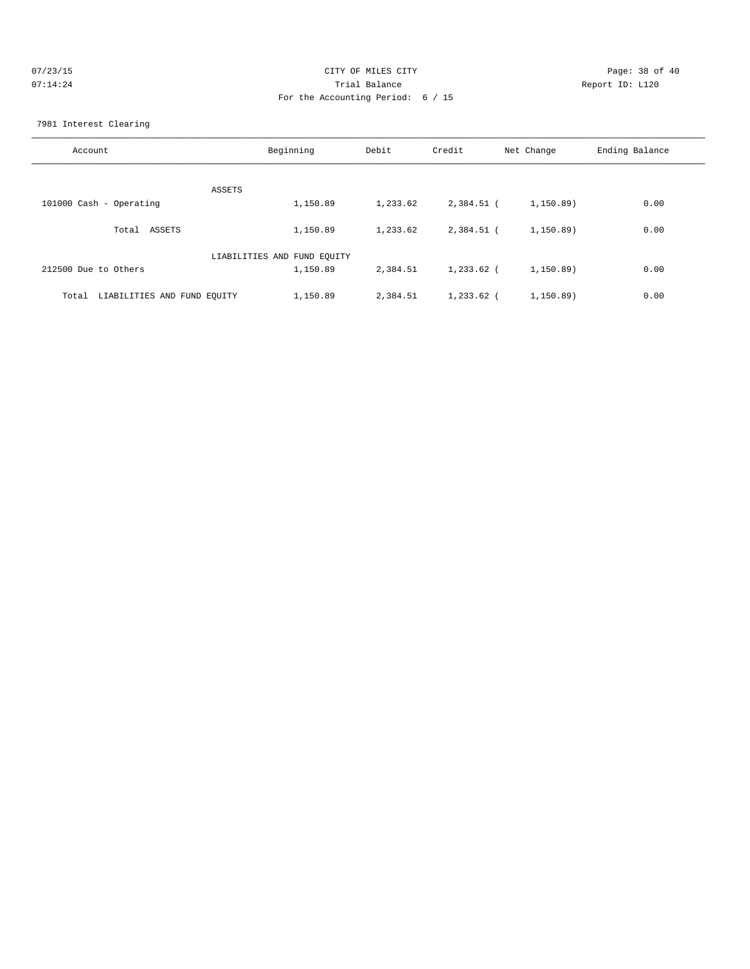| 07/23/15 | CITY OF MILES CITY                | Page: 38 of 40  |
|----------|-----------------------------------|-----------------|
| 07:14:24 | Trial Balance                     | Report ID: L120 |
|          | For the Accounting Period: 6 / 15 |                 |
|          |                                   |                 |

7981 Interest Clearing

| Account                              | Beginning                   | Debit    | Credit     | Net Change | Ending Balance |
|--------------------------------------|-----------------------------|----------|------------|------------|----------------|
| ASSETS                               |                             |          |            |            |                |
| 101000 Cash - Operating              | 1,150.89                    | 1,233.62 | 2,384.51 ( | 1,150.89)  | 0.00           |
| Total ASSETS                         | 1,150.89                    | 1,233.62 | 2,384.51 ( | 1,150.89)  | 0.00           |
|                                      | LIABILITIES AND FUND EQUITY |          |            |            |                |
| 212500 Due to Others                 | 1,150.89                    | 2,384.51 | 1,233.62 ( | 1,150.89)  | 0.00           |
| LIABILITIES AND FUND EQUITY<br>Total | 1,150.89                    | 2,384.51 | 1,233.62 ( | 1,150.89)  | 0.00           |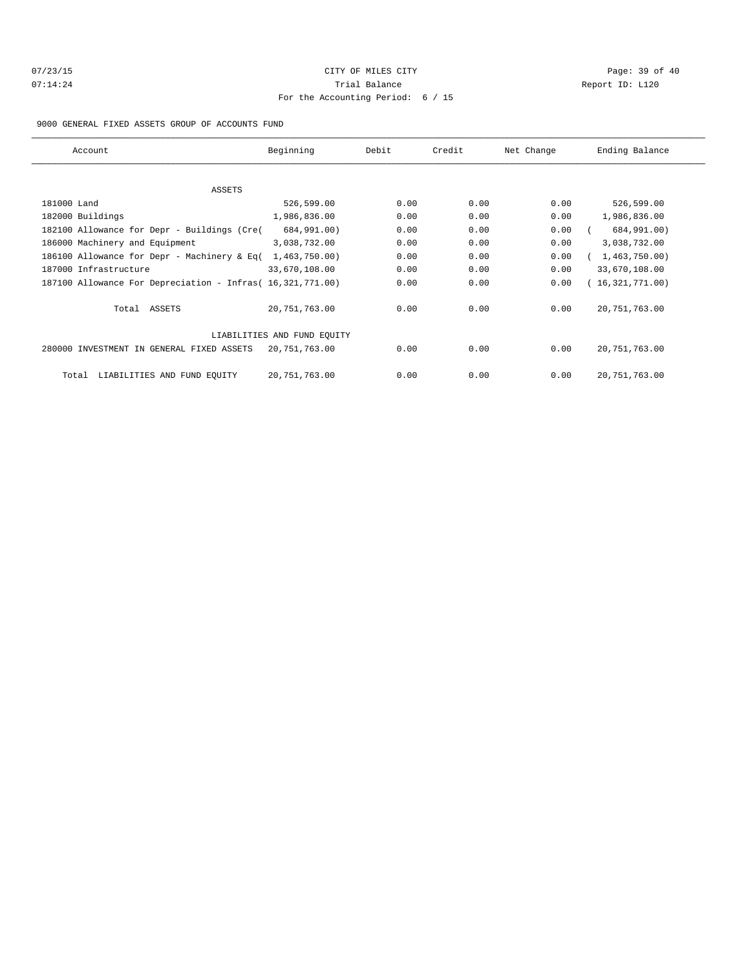# 07/23/15 Page: 39 of 40 07:14:24 **Trial Balance Constanting Constanting Constanting Constanting Constanting Constanting Constanting Constanting Constanting Constanting Constanting Constanting Constanting Constanting Constanting Constanting Cons** For the Accounting Period: 6 / 15

### 9000 GENERAL FIXED ASSETS GROUP OF ACCOUNTS FUND

| Account                                                    | Beginning                   | Debit | Credit | Net Change | Ending Balance  |
|------------------------------------------------------------|-----------------------------|-------|--------|------------|-----------------|
|                                                            |                             |       |        |            |                 |
| ASSETS                                                     |                             |       |        |            |                 |
| 181000 Land                                                | 526,599.00                  | 0.00  | 0.00   | 0.00       | 526,599.00      |
| 182000 Buildings                                           | 1,986,836.00                | 0.00  | 0.00   | 0.00       | 1,986,836.00    |
| 182100 Allowance for Depr - Buildings (Cre(                | 684,991.00)                 | 0.00  | 0.00   | 0.00       | 684,991.00)     |
| 186000 Machinery and Equipment                             | 3,038,732.00                | 0.00  | 0.00   | 0.00       | 3,038,732.00    |
| 186100 Allowance for Depr - Machinery & Eq(                | 1,463,750.00)               | 0.00  | 0.00   | 0.00       | 1,463,750.00)   |
| 187000 Infrastructure                                      | 33,670,108.00               | 0.00  | 0.00   | 0.00       | 33,670,108.00   |
| 187100 Allowance For Depreciation - Infras( 16,321,771.00) |                             | 0.00  | 0.00   | 0.00       | (16,321,771.00) |
| Total ASSETS                                               | 20, 751, 763.00             | 0.00  | 0.00   | 0.00       | 20, 751, 763.00 |
|                                                            | LIABILITIES AND FUND EQUITY |       |        |            |                 |
| 280000 INVESTMENT IN GENERAL FIXED ASSETS                  | 20,751,763.00               | 0.00  | 0.00   | 0.00       | 20, 751, 763.00 |
| LIABILITIES AND FUND EQUITY<br>Total                       | 20,751,763.00               | 0.00  | 0.00   | 0.00       | 20, 751, 763.00 |